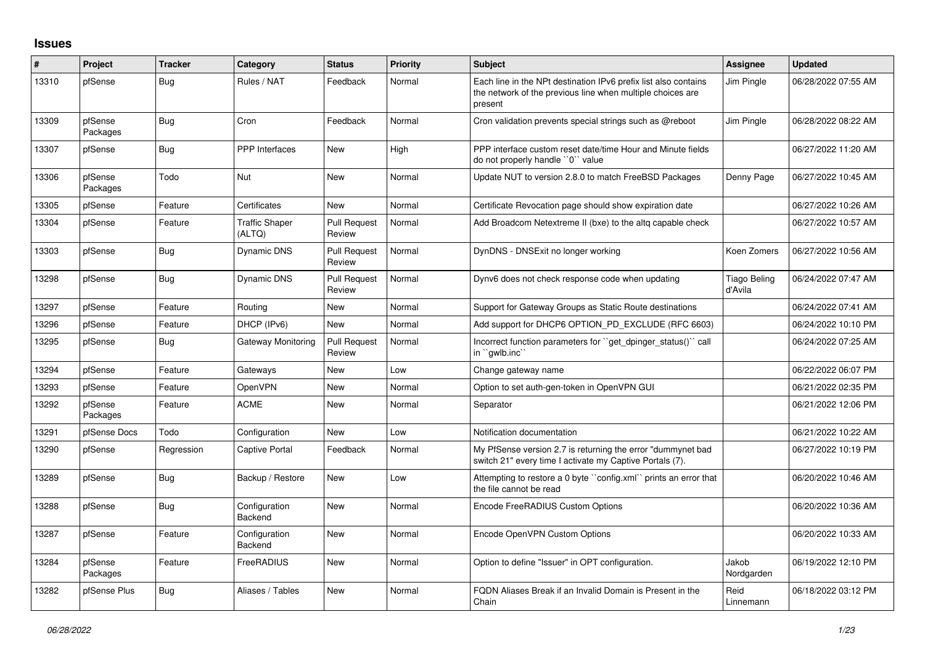## **Issues**

| #     | Project             | <b>Tracker</b> | Category                        | <b>Status</b>                 | <b>Priority</b> | <b>Subject</b>                                                                                                                           | Assignee                       | <b>Updated</b>      |
|-------|---------------------|----------------|---------------------------------|-------------------------------|-----------------|------------------------------------------------------------------------------------------------------------------------------------------|--------------------------------|---------------------|
| 13310 | pfSense             | Bug            | Rules / NAT                     | Feedback                      | Normal          | Each line in the NPt destination IPv6 prefix list also contains<br>the network of the previous line when multiple choices are<br>present | Jim Pingle                     | 06/28/2022 07:55 AM |
| 13309 | pfSense<br>Packages | Bug            | Cron                            | Feedback                      | Normal          | Cron validation prevents special strings such as @reboot                                                                                 | Jim Pingle                     | 06/28/2022 08:22 AM |
| 13307 | pfSense             | Bug            | <b>PPP</b> Interfaces           | <b>New</b>                    | High            | PPP interface custom reset date/time Hour and Minute fields<br>do not properly handle "0" value                                          |                                | 06/27/2022 11:20 AM |
| 13306 | pfSense<br>Packages | Todo           | Nut                             | <b>New</b>                    | Normal          | Update NUT to version 2.8.0 to match FreeBSD Packages                                                                                    | Denny Page                     | 06/27/2022 10:45 AM |
| 13305 | pfSense             | Feature        | Certificates                    | New                           | Normal          | Certificate Revocation page should show expiration date                                                                                  |                                | 06/27/2022 10:26 AM |
| 13304 | pfSense             | Feature        | <b>Traffic Shaper</b><br>(ALTQ) | <b>Pull Request</b><br>Review | Normal          | Add Broadcom Netextreme II (bxe) to the altg capable check                                                                               |                                | 06/27/2022 10:57 AM |
| 13303 | pfSense             | Bug            | Dynamic DNS                     | <b>Pull Request</b><br>Review | Normal          | DynDNS - DNSExit no longer working                                                                                                       | Koen Zomers                    | 06/27/2022 10:56 AM |
| 13298 | pfSense             | Bug            | <b>Dynamic DNS</b>              | <b>Pull Request</b><br>Review | Normal          | Dynv6 does not check response code when updating                                                                                         | <b>Tiago Beling</b><br>d'Avila | 06/24/2022 07:47 AM |
| 13297 | pfSense             | Feature        | Routing                         | <b>New</b>                    | Normal          | Support for Gateway Groups as Static Route destinations                                                                                  |                                | 06/24/2022 07:41 AM |
| 13296 | pfSense             | Feature        | DHCP (IPv6)                     | New                           | Normal          | Add support for DHCP6 OPTION_PD_EXCLUDE (RFC 6603)                                                                                       |                                | 06/24/2022 10:10 PM |
| 13295 | pfSense             | Bug            | Gateway Monitoring              | <b>Pull Request</b><br>Review | Normal          | Incorrect function parameters for "get_dpinger_status()" call<br>in ``qwlb.inc``                                                         |                                | 06/24/2022 07:25 AM |
| 13294 | pfSense             | Feature        | Gateways                        | <b>New</b>                    | Low             | Change gateway name                                                                                                                      |                                | 06/22/2022 06:07 PM |
| 13293 | pfSense             | Feature        | OpenVPN                         | <b>New</b>                    | Normal          | Option to set auth-gen-token in OpenVPN GUI                                                                                              |                                | 06/21/2022 02:35 PM |
| 13292 | pfSense<br>Packages | Feature        | <b>ACME</b>                     | <b>New</b>                    | Normal          | Separator                                                                                                                                |                                | 06/21/2022 12:06 PM |
| 13291 | pfSense Docs        | Todo           | Configuration                   | <b>New</b>                    | Low             | Notification documentation                                                                                                               |                                | 06/21/2022 10:22 AM |
| 13290 | pfSense             | Regression     | <b>Captive Portal</b>           | Feedback                      | Normal          | My PfSense version 2.7 is returning the error "dummynet bad"<br>switch 21" every time I activate my Captive Portals (7).                 |                                | 06/27/2022 10:19 PM |
| 13289 | pfSense             | Bug            | Backup / Restore                | <b>New</b>                    | Low             | Attempting to restore a 0 byte "config.xml" prints an error that<br>the file cannot be read                                              |                                | 06/20/2022 10:46 AM |
| 13288 | pfSense             | Bug            | Configuration<br>Backend        | <b>New</b>                    | Normal          | Encode FreeRADIUS Custom Options                                                                                                         |                                | 06/20/2022 10:36 AM |
| 13287 | pfSense             | Feature        | Configuration<br>Backend        | <b>New</b>                    | Normal          | Encode OpenVPN Custom Options                                                                                                            |                                | 06/20/2022 10:33 AM |
| 13284 | pfSense<br>Packages | Feature        | FreeRADIUS                      | <b>New</b>                    | Normal          | Option to define "Issuer" in OPT configuration.                                                                                          | Jakob<br>Nordgarden            | 06/19/2022 12:10 PM |
| 13282 | pfSense Plus        | Bug            | Aliases / Tables                | <b>New</b>                    | Normal          | FQDN Aliases Break if an Invalid Domain is Present in the<br>Chain                                                                       | Reid<br>Linnemann              | 06/18/2022 03:12 PM |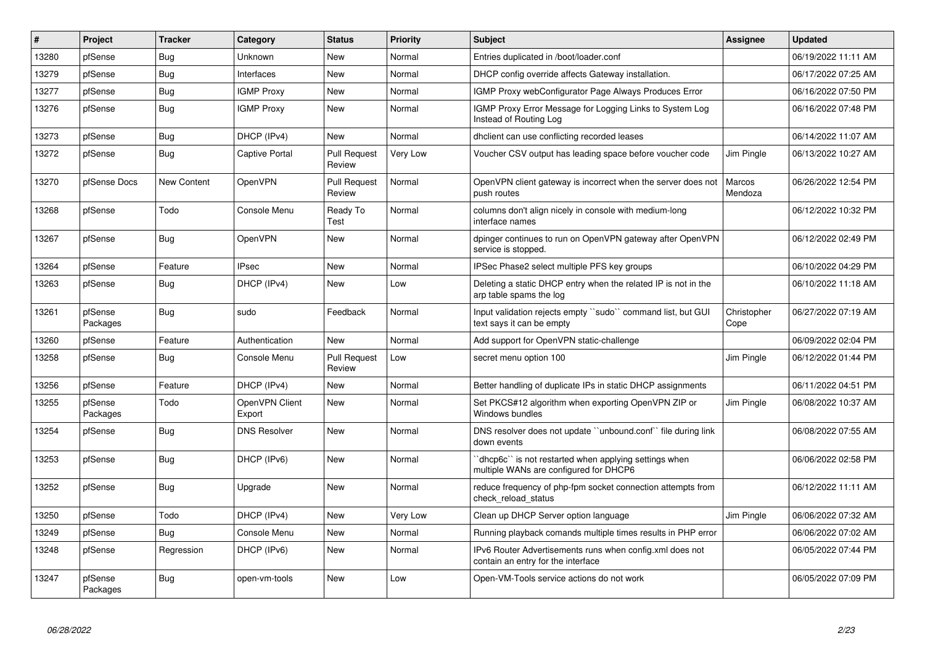| #     | Project             | <b>Tracker</b> | Category                 | <b>Status</b>                 | <b>Priority</b> | <b>Subject</b>                                                                                 | Assignee                 | <b>Updated</b>      |
|-------|---------------------|----------------|--------------------------|-------------------------------|-----------------|------------------------------------------------------------------------------------------------|--------------------------|---------------------|
| 13280 | pfSense             | Bug            | Unknown                  | <b>New</b>                    | Normal          | Entries duplicated in /boot/loader.conf                                                        |                          | 06/19/2022 11:11 AM |
| 13279 | pfSense             | Bug            | Interfaces               | New                           | Normal          | DHCP config override affects Gateway installation.                                             |                          | 06/17/2022 07:25 AM |
| 13277 | pfSense             | <b>Bug</b>     | <b>IGMP Proxy</b>        | New                           | Normal          | IGMP Proxy webConfigurator Page Always Produces Error                                          |                          | 06/16/2022 07:50 PM |
| 13276 | pfSense             | Bug            | <b>IGMP Proxy</b>        | New                           | Normal          | IGMP Proxy Error Message for Logging Links to System Log<br>Instead of Routing Log             |                          | 06/16/2022 07:48 PM |
| 13273 | pfSense             | <b>Bug</b>     | DHCP (IPv4)              | New                           | Normal          | dhclient can use conflicting recorded leases                                                   |                          | 06/14/2022 11:07 AM |
| 13272 | pfSense             | <b>Bug</b>     | <b>Captive Portal</b>    | <b>Pull Request</b><br>Review | Very Low        | Voucher CSV output has leading space before voucher code                                       | Jim Pingle               | 06/13/2022 10:27 AM |
| 13270 | pfSense Docs        | New Content    | OpenVPN                  | <b>Pull Request</b><br>Review | Normal          | OpenVPN client gateway is incorrect when the server does not<br>push routes                    | <b>Marcos</b><br>Mendoza | 06/26/2022 12:54 PM |
| 13268 | pfSense             | Todo           | Console Menu             | Ready To<br>Test              | Normal          | columns don't align nicely in console with medium-long<br>interface names                      |                          | 06/12/2022 10:32 PM |
| 13267 | pfSense             | Bug            | OpenVPN                  | <b>New</b>                    | Normal          | dpinger continues to run on OpenVPN gateway after OpenVPN<br>service is stopped.               |                          | 06/12/2022 02:49 PM |
| 13264 | pfSense             | Feature        | <b>IPsec</b>             | New                           | Normal          | IPSec Phase2 select multiple PFS key groups                                                    |                          | 06/10/2022 04:29 PM |
| 13263 | pfSense             | <b>Bug</b>     | DHCP (IPv4)              | New                           | Low             | Deleting a static DHCP entry when the related IP is not in the<br>arp table spams the log      |                          | 06/10/2022 11:18 AM |
| 13261 | pfSense<br>Packages | <b>Bug</b>     | sudo                     | Feedback                      | Normal          | Input validation rejects empty "sudo" command list, but GUI<br>text says it can be empty       | Christopher<br>Cope      | 06/27/2022 07:19 AM |
| 13260 | pfSense             | Feature        | Authentication           | <b>New</b>                    | Normal          | Add support for OpenVPN static-challenge                                                       |                          | 06/09/2022 02:04 PM |
| 13258 | pfSense             | Bug            | Console Menu             | <b>Pull Request</b><br>Review | Low             | secret menu option 100                                                                         | Jim Pingle               | 06/12/2022 01:44 PM |
| 13256 | pfSense             | Feature        | DHCP (IPv4)              | New                           | Normal          | Better handling of duplicate IPs in static DHCP assignments                                    |                          | 06/11/2022 04:51 PM |
| 13255 | pfSense<br>Packages | Todo           | OpenVPN Client<br>Export | New                           | Normal          | Set PKCS#12 algorithm when exporting OpenVPN ZIP or<br>Windows bundles                         | Jim Pingle               | 06/08/2022 10:37 AM |
| 13254 | pfSense             | Bug            | <b>DNS Resolver</b>      | <b>New</b>                    | Normal          | DNS resolver does not update "unbound.conf" file during link<br>down events                    |                          | 06/08/2022 07:55 AM |
| 13253 | pfSense             | Bug            | DHCP (IPv6)              | New                           | Normal          | dhcp6c" is not restarted when applying settings when<br>multiple WANs are configured for DHCP6 |                          | 06/06/2022 02:58 PM |
| 13252 | pfSense             | Bug            | Upgrade                  | New                           | Normal          | reduce frequency of php-fpm socket connection attempts from<br>check_reload_status             |                          | 06/12/2022 11:11 AM |
| 13250 | pfSense             | Todo           | DHCP (IPv4)              | New                           | Very Low        | Clean up DHCP Server option language                                                           | Jim Pingle               | 06/06/2022 07:32 AM |
| 13249 | pfSense             | Bug            | Console Menu             | New                           | Normal          | Running playback comands multiple times results in PHP error                                   |                          | 06/06/2022 07:02 AM |
| 13248 | pfSense             | Regression     | DHCP (IPv6)              | New                           | Normal          | IPv6 Router Advertisements runs when config.xml does not<br>contain an entry for the interface |                          | 06/05/2022 07:44 PM |
| 13247 | pfSense<br>Packages | <b>Bug</b>     | open-vm-tools            | New                           | Low             | Open-VM-Tools service actions do not work                                                      |                          | 06/05/2022 07:09 PM |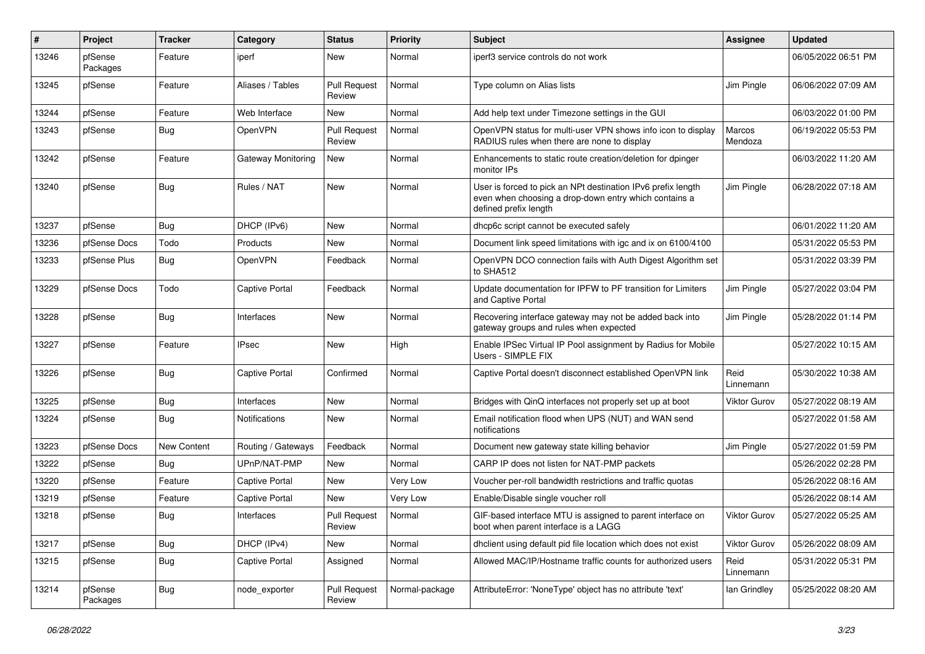| #     | Project             | Tracker     | Category                  | <b>Status</b>                 | <b>Priority</b> | <b>Subject</b>                                                                                                                                 | <b>Assignee</b>   | <b>Updated</b>      |
|-------|---------------------|-------------|---------------------------|-------------------------------|-----------------|------------------------------------------------------------------------------------------------------------------------------------------------|-------------------|---------------------|
| 13246 | pfSense<br>Packages | Feature     | iperf                     | <b>New</b>                    | Normal          | iperf3 service controls do not work                                                                                                            |                   | 06/05/2022 06:51 PM |
| 13245 | pfSense             | Feature     | Aliases / Tables          | <b>Pull Request</b><br>Review | Normal          | Type column on Alias lists                                                                                                                     | Jim Pingle        | 06/06/2022 07:09 AM |
| 13244 | pfSense             | Feature     | Web Interface             | <b>New</b>                    | Normal          | Add help text under Timezone settings in the GUI                                                                                               |                   | 06/03/2022 01:00 PM |
| 13243 | pfSense             | <b>Bug</b>  | OpenVPN                   | <b>Pull Request</b><br>Review | Normal          | OpenVPN status for multi-user VPN shows info icon to display<br>RADIUS rules when there are none to display                                    | Marcos<br>Mendoza | 06/19/2022 05:53 PM |
| 13242 | pfSense             | Feature     | <b>Gateway Monitoring</b> | New                           | Normal          | Enhancements to static route creation/deletion for dpinger<br>monitor IPs                                                                      |                   | 06/03/2022 11:20 AM |
| 13240 | pfSense             | Bug         | Rules / NAT               | New                           | Normal          | User is forced to pick an NPt destination IPv6 prefix length<br>even when choosing a drop-down entry which contains a<br>defined prefix length | Jim Pingle        | 06/28/2022 07:18 AM |
| 13237 | pfSense             | Bug         | DHCP (IPv6)               | New                           | Normal          | dhcp6c script cannot be executed safely                                                                                                        |                   | 06/01/2022 11:20 AM |
| 13236 | pfSense Docs        | Todo        | Products                  | <b>New</b>                    | Normal          | Document link speed limitations with igc and ix on 6100/4100                                                                                   |                   | 05/31/2022 05:53 PM |
| 13233 | pfSense Plus        | Bug         | OpenVPN                   | Feedback                      | Normal          | OpenVPN DCO connection fails with Auth Digest Algorithm set<br>to SHA512                                                                       |                   | 05/31/2022 03:39 PM |
| 13229 | pfSense Docs        | Todo        | <b>Captive Portal</b>     | Feedback                      | Normal          | Update documentation for IPFW to PF transition for Limiters<br>and Captive Portal                                                              | Jim Pingle        | 05/27/2022 03:04 PM |
| 13228 | pfSense             | Bug         | Interfaces                | New                           | Normal          | Recovering interface gateway may not be added back into<br>gateway groups and rules when expected                                              | Jim Pingle        | 05/28/2022 01:14 PM |
| 13227 | pfSense             | Feature     | <b>IPsec</b>              | <b>New</b>                    | High            | Enable IPSec Virtual IP Pool assignment by Radius for Mobile<br>Users - SIMPLE FIX                                                             |                   | 05/27/2022 10:15 AM |
| 13226 | pfSense             | Bug         | <b>Captive Portal</b>     | Confirmed                     | Normal          | Captive Portal doesn't disconnect established OpenVPN link                                                                                     | Reid<br>Linnemann | 05/30/2022 10:38 AM |
| 13225 | pfSense             | Bug         | Interfaces                | New                           | Normal          | Bridges with QinQ interfaces not properly set up at boot                                                                                       | Viktor Gurov      | 05/27/2022 08:19 AM |
| 13224 | pfSense             | Bug         | Notifications             | New                           | Normal          | Email notification flood when UPS (NUT) and WAN send<br>notifications                                                                          |                   | 05/27/2022 01:58 AM |
| 13223 | pfSense Docs        | New Content | Routing / Gateways        | Feedback                      | Normal          | Document new gateway state killing behavior                                                                                                    | Jim Pingle        | 05/27/2022 01:59 PM |
| 13222 | pfSense             | Bug         | UPnP/NAT-PMP              | New                           | Normal          | CARP IP does not listen for NAT-PMP packets                                                                                                    |                   | 05/26/2022 02:28 PM |
| 13220 | pfSense             | Feature     | <b>Captive Portal</b>     | New                           | Very Low        | Voucher per-roll bandwidth restrictions and traffic quotas                                                                                     |                   | 05/26/2022 08:16 AM |
| 13219 | pfSense             | Feature     | <b>Captive Portal</b>     | <b>New</b>                    | Very Low        | Enable/Disable single voucher roll                                                                                                             |                   | 05/26/2022 08:14 AM |
| 13218 | pfSense             | Bug         | Interfaces                | <b>Pull Request</b><br>Review | Normal          | GIF-based interface MTU is assigned to parent interface on<br>boot when parent interface is a LAGG                                             | Viktor Gurov      | 05/27/2022 05:25 AM |
| 13217 | pfSense             | <b>Bug</b>  | DHCP (IPv4)               | New                           | Normal          | dhclient using default pid file location which does not exist                                                                                  | Viktor Gurov      | 05/26/2022 08:09 AM |
| 13215 | pfSense             | <b>Bug</b>  | <b>Captive Portal</b>     | Assigned                      | Normal          | Allowed MAC/IP/Hostname traffic counts for authorized users                                                                                    | Reid<br>Linnemann | 05/31/2022 05:31 PM |
| 13214 | pfSense<br>Packages | <b>Bug</b>  | node_exporter             | <b>Pull Request</b><br>Review | Normal-package  | AttributeError: 'NoneType' object has no attribute 'text'                                                                                      | lan Grindley      | 05/25/2022 08:20 AM |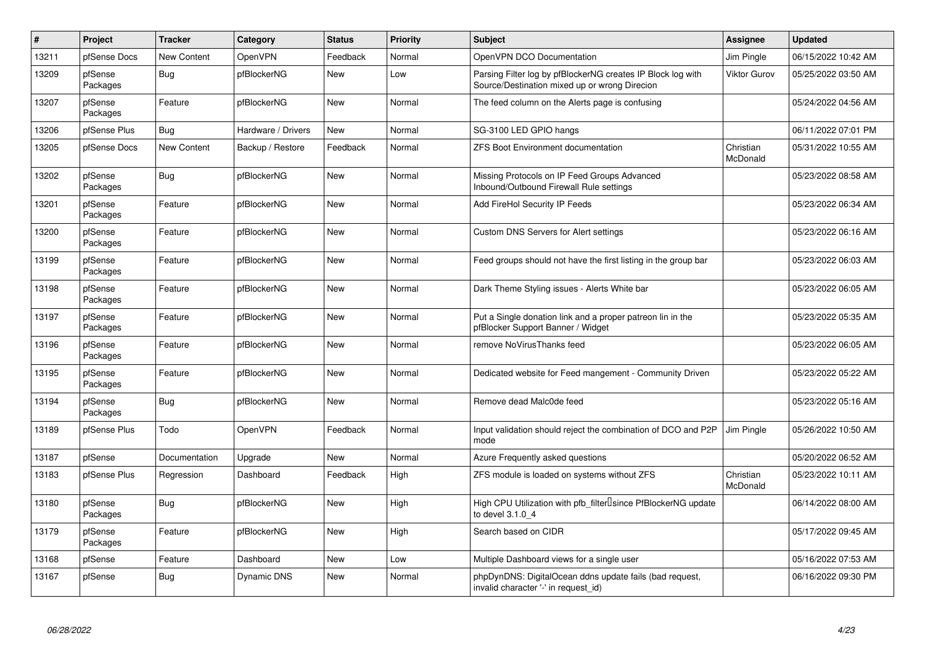| $\vert$ # | <b>Project</b>      | <b>Tracker</b>     | Category           | <b>Status</b> | <b>Priority</b> | <b>Subject</b>                                                                                               | Assignee              | <b>Updated</b>      |
|-----------|---------------------|--------------------|--------------------|---------------|-----------------|--------------------------------------------------------------------------------------------------------------|-----------------------|---------------------|
| 13211     | pfSense Docs        | <b>New Content</b> | OpenVPN            | Feedback      | Normal          | OpenVPN DCO Documentation                                                                                    | Jim Pingle            | 06/15/2022 10:42 AM |
| 13209     | pfSense<br>Packages | <b>Bug</b>         | pfBlockerNG        | <b>New</b>    | Low             | Parsing Filter log by pfBlockerNG creates IP Block log with<br>Source/Destination mixed up or wrong Direcion | Viktor Gurov          | 05/25/2022 03:50 AM |
| 13207     | pfSense<br>Packages | Feature            | pfBlockerNG        | <b>New</b>    | Normal          | The feed column on the Alerts page is confusing                                                              |                       | 05/24/2022 04:56 AM |
| 13206     | pfSense Plus        | Bug                | Hardware / Drivers | <b>New</b>    | Normal          | SG-3100 LED GPIO hangs                                                                                       |                       | 06/11/2022 07:01 PM |
| 13205     | pfSense Docs        | New Content        | Backup / Restore   | Feedback      | Normal          | <b>ZFS Boot Environment documentation</b>                                                                    | Christian<br>McDonald | 05/31/2022 10:55 AM |
| 13202     | pfSense<br>Packages | Bug                | pfBlockerNG        | <b>New</b>    | Normal          | Missing Protocols on IP Feed Groups Advanced<br>Inbound/Outbound Firewall Rule settings                      |                       | 05/23/2022 08:58 AM |
| 13201     | pfSense<br>Packages | Feature            | pfBlockerNG        | <b>New</b>    | Normal          | Add FireHol Security IP Feeds                                                                                |                       | 05/23/2022 06:34 AM |
| 13200     | pfSense<br>Packages | Feature            | pfBlockerNG        | <b>New</b>    | Normal          | Custom DNS Servers for Alert settings                                                                        |                       | 05/23/2022 06:16 AM |
| 13199     | pfSense<br>Packages | Feature            | pfBlockerNG        | <b>New</b>    | Normal          | Feed groups should not have the first listing in the group bar                                               |                       | 05/23/2022 06:03 AM |
| 13198     | pfSense<br>Packages | Feature            | pfBlockerNG        | New           | Normal          | Dark Theme Styling issues - Alerts White bar                                                                 |                       | 05/23/2022 06:05 AM |
| 13197     | pfSense<br>Packages | Feature            | pfBlockerNG        | New           | Normal          | Put a Single donation link and a proper patreon lin in the<br>pfBlocker Support Banner / Widget              |                       | 05/23/2022 05:35 AM |
| 13196     | pfSense<br>Packages | Feature            | pfBlockerNG        | <b>New</b>    | Normal          | remove NoVirusThanks feed                                                                                    |                       | 05/23/2022 06:05 AM |
| 13195     | pfSense<br>Packages | Feature            | pfBlockerNG        | <b>New</b>    | Normal          | Dedicated website for Feed mangement - Community Driven                                                      |                       | 05/23/2022 05:22 AM |
| 13194     | pfSense<br>Packages | <b>Bug</b>         | pfBlockerNG        | <b>New</b>    | Normal          | Remove dead Malc0de feed                                                                                     |                       | 05/23/2022 05:16 AM |
| 13189     | pfSense Plus        | Todo               | OpenVPN            | Feedback      | Normal          | Input validation should reject the combination of DCO and P2P<br>mode                                        | Jim Pingle            | 05/26/2022 10:50 AM |
| 13187     | pfSense             | Documentation      | Upgrade            | <b>New</b>    | Normal          | Azure Frequently asked questions                                                                             |                       | 05/20/2022 06:52 AM |
| 13183     | pfSense Plus        | Regression         | Dashboard          | Feedback      | High            | ZFS module is loaded on systems without ZFS                                                                  | Christian<br>McDonald | 05/23/2022 10:11 AM |
| 13180     | pfSense<br>Packages | Bug                | pfBlockerNG        | <b>New</b>    | High            | High CPU Utilization with pfb_filter <sup>[]</sup> since PfBlockerNG update<br>to devel 3.1.0 4              |                       | 06/14/2022 08:00 AM |
| 13179     | pfSense<br>Packages | Feature            | pfBlockerNG        | <b>New</b>    | High            | Search based on CIDR                                                                                         |                       | 05/17/2022 09:45 AM |
| 13168     | pfSense             | Feature            | Dashboard          | <b>New</b>    | Low             | Multiple Dashboard views for a single user                                                                   |                       | 05/16/2022 07:53 AM |
| 13167     | pfSense             | <b>Bug</b>         | Dynamic DNS        | <b>New</b>    | Normal          | phpDynDNS: DigitalOcean ddns update fails (bad request,<br>invalid character '-' in request id)              |                       | 06/16/2022 09:30 PM |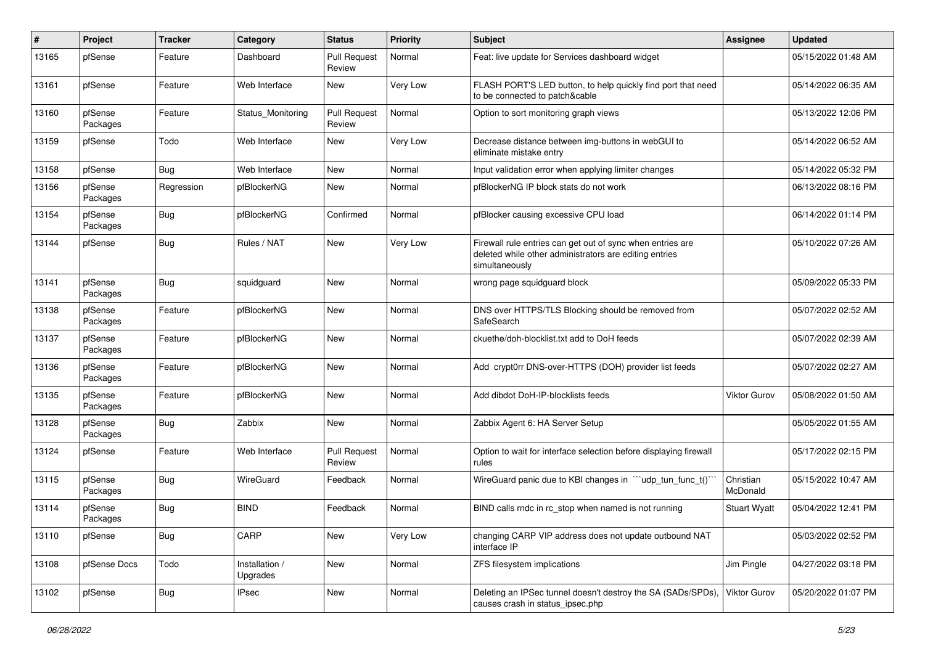| #     | Project             | <b>Tracker</b> | Category                   | <b>Status</b>                 | <b>Priority</b> | <b>Subject</b>                                                                                                                         | Assignee              | <b>Updated</b>      |
|-------|---------------------|----------------|----------------------------|-------------------------------|-----------------|----------------------------------------------------------------------------------------------------------------------------------------|-----------------------|---------------------|
| 13165 | pfSense             | Feature        | Dashboard                  | <b>Pull Request</b><br>Review | Normal          | Feat: live update for Services dashboard widget                                                                                        |                       | 05/15/2022 01:48 AM |
| 13161 | pfSense             | Feature        | Web Interface              | New                           | Very Low        | FLASH PORT'S LED button, to help quickly find port that need<br>to be connected to patch&cable                                         |                       | 05/14/2022 06:35 AM |
| 13160 | pfSense<br>Packages | Feature        | Status Monitoring          | Pull Request<br>Review        | Normal          | Option to sort monitoring graph views                                                                                                  |                       | 05/13/2022 12:06 PM |
| 13159 | pfSense             | Todo           | Web Interface              | New                           | Very Low        | Decrease distance between img-buttons in webGUI to<br>eliminate mistake entry                                                          |                       | 05/14/2022 06:52 AM |
| 13158 | pfSense             | Bug            | Web Interface              | New                           | Normal          | Input validation error when applying limiter changes                                                                                   |                       | 05/14/2022 05:32 PM |
| 13156 | pfSense<br>Packages | Regression     | pfBlockerNG                | <b>New</b>                    | Normal          | pfBlockerNG IP block stats do not work                                                                                                 |                       | 06/13/2022 08:16 PM |
| 13154 | pfSense<br>Packages | <b>Bug</b>     | pfBlockerNG                | Confirmed                     | Normal          | pfBlocker causing excessive CPU load                                                                                                   |                       | 06/14/2022 01:14 PM |
| 13144 | pfSense             | Bug            | Rules / NAT                | <b>New</b>                    | Very Low        | Firewall rule entries can get out of sync when entries are<br>deleted while other administrators are editing entries<br>simultaneously |                       | 05/10/2022 07:26 AM |
| 13141 | pfSense<br>Packages | Bug            | squidguard                 | New                           | Normal          | wrong page squidguard block                                                                                                            |                       | 05/09/2022 05:33 PM |
| 13138 | pfSense<br>Packages | Feature        | pfBlockerNG                | <b>New</b>                    | Normal          | DNS over HTTPS/TLS Blocking should be removed from<br>SafeSearch                                                                       |                       | 05/07/2022 02:52 AM |
| 13137 | pfSense<br>Packages | Feature        | pfBlockerNG                | <b>New</b>                    | Normal          | ckuethe/doh-blocklist.txt add to DoH feeds                                                                                             |                       | 05/07/2022 02:39 AM |
| 13136 | pfSense<br>Packages | Feature        | pfBlockerNG                | New                           | Normal          | Add crypt0rr DNS-over-HTTPS (DOH) provider list feeds                                                                                  |                       | 05/07/2022 02:27 AM |
| 13135 | pfSense<br>Packages | Feature        | pfBlockerNG                | New                           | Normal          | Add dibdot DoH-IP-blocklists feeds                                                                                                     | <b>Viktor Gurov</b>   | 05/08/2022 01:50 AM |
| 13128 | pfSense<br>Packages | <b>Bug</b>     | Zabbix                     | New                           | Normal          | Zabbix Agent 6: HA Server Setup                                                                                                        |                       | 05/05/2022 01:55 AM |
| 13124 | pfSense             | Feature        | Web Interface              | <b>Pull Request</b><br>Review | Normal          | Option to wait for interface selection before displaying firewall<br>rules                                                             |                       | 05/17/2022 02:15 PM |
| 13115 | pfSense<br>Packages | Bug            | WireGuard                  | Feedback                      | Normal          | WireGuard panic due to KBI changes in ""udp_tun_func_t()"                                                                              | Christian<br>McDonald | 05/15/2022 10:47 AM |
| 13114 | pfSense<br>Packages | Bug            | <b>BIND</b>                | Feedback                      | Normal          | BIND calls rndc in rc_stop when named is not running                                                                                   | <b>Stuart Wyatt</b>   | 05/04/2022 12:41 PM |
| 13110 | pfSense             | Bug            | CARP                       | New                           | Very Low        | changing CARP VIP address does not update outbound NAT<br>interface IP                                                                 |                       | 05/03/2022 02:52 PM |
| 13108 | pfSense Docs        | Todo           | Installation /<br>Upgrades | New                           | Normal          | ZFS filesystem implications                                                                                                            | Jim Pingle            | 04/27/2022 03:18 PM |
| 13102 | pfSense             | <b>Bug</b>     | <b>IPsec</b>               | New                           | Normal          | Deleting an IPSec tunnel doesn't destroy the SA (SADs/SPDs).<br>causes crash in status_ipsec.php                                       | Viktor Gurov          | 05/20/2022 01:07 PM |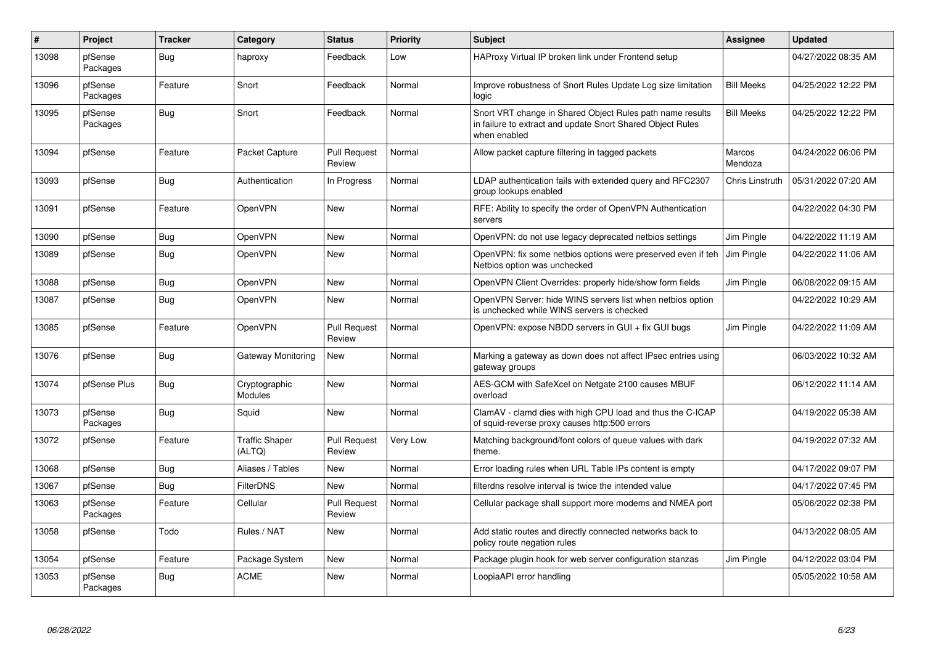| #     | Project             | <b>Tracker</b> | Category                        | <b>Status</b>                 | <b>Priority</b> | <b>Subject</b>                                                                                                                          | <b>Assignee</b>   | <b>Updated</b>      |
|-------|---------------------|----------------|---------------------------------|-------------------------------|-----------------|-----------------------------------------------------------------------------------------------------------------------------------------|-------------------|---------------------|
| 13098 | pfSense<br>Packages | <b>Bug</b>     | haproxy                         | Feedback                      | Low             | HAProxy Virtual IP broken link under Frontend setup                                                                                     |                   | 04/27/2022 08:35 AM |
| 13096 | pfSense<br>Packages | Feature        | Snort                           | Feedback                      | Normal          | Improve robustness of Snort Rules Update Log size limitation<br>logic                                                                   | <b>Bill Meeks</b> | 04/25/2022 12:22 PM |
| 13095 | pfSense<br>Packages | <b>Bug</b>     | Snort                           | Feedback                      | Normal          | Snort VRT change in Shared Object Rules path name results<br>in failure to extract and update Snort Shared Object Rules<br>when enabled | <b>Bill Meeks</b> | 04/25/2022 12:22 PM |
| 13094 | pfSense             | Feature        | Packet Capture                  | <b>Pull Request</b><br>Review | Normal          | Allow packet capture filtering in tagged packets                                                                                        | Marcos<br>Mendoza | 04/24/2022 06:06 PM |
| 13093 | pfSense             | <b>Bug</b>     | Authentication                  | In Progress                   | Normal          | LDAP authentication fails with extended query and RFC2307<br>group lookups enabled                                                      | Chris Linstruth   | 05/31/2022 07:20 AM |
| 13091 | pfSense             | Feature        | OpenVPN                         | <b>New</b>                    | Normal          | RFE: Ability to specify the order of OpenVPN Authentication<br>servers                                                                  |                   | 04/22/2022 04:30 PM |
| 13090 | pfSense             | Bug            | OpenVPN                         | New                           | Normal          | OpenVPN: do not use legacy deprecated netbios settings                                                                                  | Jim Pingle        | 04/22/2022 11:19 AM |
| 13089 | pfSense             | <b>Bug</b>     | OpenVPN                         | <b>New</b>                    | Normal          | OpenVPN: fix some netbios options were preserved even if teh<br>Netbios option was unchecked                                            | Jim Pingle        | 04/22/2022 11:06 AM |
| 13088 | pfSense             | Bug            | OpenVPN                         | <b>New</b>                    | Normal          | OpenVPN Client Overrides: properly hide/show form fields                                                                                | Jim Pingle        | 06/08/2022 09:15 AM |
| 13087 | pfSense             | <b>Bug</b>     | OpenVPN                         | <b>New</b>                    | Normal          | OpenVPN Server: hide WINS servers list when netbios option<br>is unchecked while WINS servers is checked                                |                   | 04/22/2022 10:29 AM |
| 13085 | pfSense             | Feature        | OpenVPN                         | <b>Pull Request</b><br>Review | Normal          | OpenVPN: expose NBDD servers in GUI + fix GUI bugs                                                                                      | Jim Pingle        | 04/22/2022 11:09 AM |
| 13076 | pfSense             | <b>Bug</b>     | <b>Gateway Monitoring</b>       | New                           | Normal          | Marking a gateway as down does not affect IPsec entries using<br>gateway groups                                                         |                   | 06/03/2022 10:32 AM |
| 13074 | pfSense Plus        | <b>Bug</b>     | Cryptographic<br>Modules        | <b>New</b>                    | Normal          | AES-GCM with SafeXcel on Netgate 2100 causes MBUF<br>overload                                                                           |                   | 06/12/2022 11:14 AM |
| 13073 | pfSense<br>Packages | <b>Bug</b>     | Squid                           | New                           | Normal          | ClamAV - clamd dies with high CPU load and thus the C-ICAP<br>of squid-reverse proxy causes http:500 errors                             |                   | 04/19/2022 05:38 AM |
| 13072 | pfSense             | Feature        | <b>Traffic Shaper</b><br>(ALTQ) | <b>Pull Request</b><br>Review | Very Low        | Matching background/font colors of queue values with dark<br>theme.                                                                     |                   | 04/19/2022 07:32 AM |
| 13068 | pfSense             | <b>Bug</b>     | Aliases / Tables                | New                           | Normal          | Error loading rules when URL Table IPs content is empty                                                                                 |                   | 04/17/2022 09:07 PM |
| 13067 | pfSense             | <b>Bug</b>     | <b>FilterDNS</b>                | New                           | Normal          | filterdns resolve interval is twice the intended value                                                                                  |                   | 04/17/2022 07:45 PM |
| 13063 | pfSense<br>Packages | Feature        | Cellular                        | <b>Pull Request</b><br>Review | Normal          | Cellular package shall support more modems and NMEA port                                                                                |                   | 05/06/2022 02:38 PM |
| 13058 | pfSense             | Todo           | Rules / NAT                     | New                           | Normal          | Add static routes and directly connected networks back to<br>policy route negation rules                                                |                   | 04/13/2022 08:05 AM |
| 13054 | pfSense             | Feature        | Package System                  | New                           | Normal          | Package plugin hook for web server configuration stanzas                                                                                | Jim Pingle        | 04/12/2022 03:04 PM |
| 13053 | pfSense<br>Packages | <b>Bug</b>     | <b>ACME</b>                     | <b>New</b>                    | Normal          | LoopiaAPI error handling                                                                                                                |                   | 05/05/2022 10:58 AM |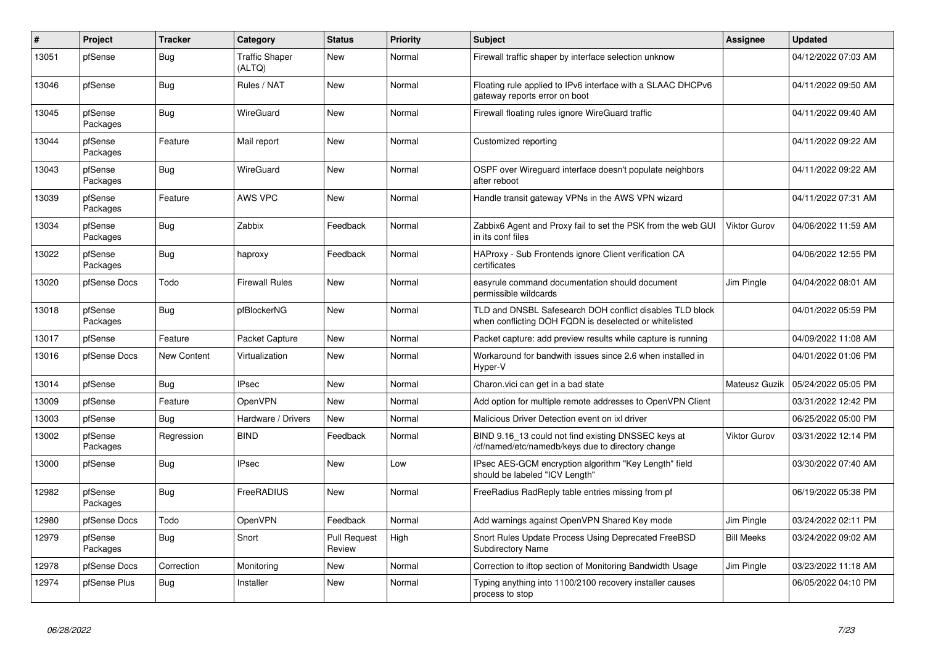| #     | Project             | <b>Tracker</b>     | Category                        | <b>Status</b>                 | <b>Priority</b> | <b>Subject</b>                                                                                                     | Assignee            | <b>Updated</b>      |
|-------|---------------------|--------------------|---------------------------------|-------------------------------|-----------------|--------------------------------------------------------------------------------------------------------------------|---------------------|---------------------|
| 13051 | pfSense             | Bug                | <b>Traffic Shaper</b><br>(ALTQ) | New                           | Normal          | Firewall traffic shaper by interface selection unknow                                                              |                     | 04/12/2022 07:03 AM |
| 13046 | pfSense             | Bug                | Rules / NAT                     | <b>New</b>                    | Normal          | Floating rule applied to IPv6 interface with a SLAAC DHCPv6<br>gateway reports error on boot                       |                     | 04/11/2022 09:50 AM |
| 13045 | pfSense<br>Packages | Bug                | WireGuard                       | New                           | Normal          | Firewall floating rules ignore WireGuard traffic                                                                   |                     | 04/11/2022 09:40 AM |
| 13044 | pfSense<br>Packages | Feature            | Mail report                     | New                           | Normal          | Customized reporting                                                                                               |                     | 04/11/2022 09:22 AM |
| 13043 | pfSense<br>Packages | <b>Bug</b>         | WireGuard                       | <b>New</b>                    | Normal          | OSPF over Wireguard interface doesn't populate neighbors<br>after reboot                                           |                     | 04/11/2022 09:22 AM |
| 13039 | pfSense<br>Packages | Feature            | AWS VPC                         | <b>New</b>                    | Normal          | Handle transit gateway VPNs in the AWS VPN wizard                                                                  |                     | 04/11/2022 07:31 AM |
| 13034 | pfSense<br>Packages | Bug                | Zabbix                          | Feedback                      | Normal          | Zabbix6 Agent and Proxy fail to set the PSK from the web GUI<br>in its conf files                                  | <b>Viktor Gurov</b> | 04/06/2022 11:59 AM |
| 13022 | pfSense<br>Packages | Bug                | haproxy                         | Feedback                      | Normal          | HAProxy - Sub Frontends ignore Client verification CA<br>certificates                                              |                     | 04/06/2022 12:55 PM |
| 13020 | pfSense Docs        | Todo               | <b>Firewall Rules</b>           | New                           | Normal          | easyrule command documentation should document<br>permissible wildcards                                            | Jim Pingle          | 04/04/2022 08:01 AM |
| 13018 | pfSense<br>Packages | <b>Bug</b>         | pfBlockerNG                     | <b>New</b>                    | Normal          | TLD and DNSBL Safesearch DOH conflict disables TLD block<br>when conflicting DOH FQDN is deselected or whitelisted |                     | 04/01/2022 05:59 PM |
| 13017 | pfSense             | Feature            | Packet Capture                  | New                           | Normal          | Packet capture: add preview results while capture is running                                                       |                     | 04/09/2022 11:08 AM |
| 13016 | pfSense Docs        | <b>New Content</b> | Virtualization                  | <b>New</b>                    | Normal          | Workaround for bandwith issues since 2.6 when installed in<br>Hyper-V                                              |                     | 04/01/2022 01:06 PM |
| 13014 | pfSense             | Bug                | <b>IPsec</b>                    | <b>New</b>                    | Normal          | Charon.vici can get in a bad state                                                                                 | Mateusz Guzik       | 05/24/2022 05:05 PM |
| 13009 | pfSense             | Feature            | OpenVPN                         | New                           | Normal          | Add option for multiple remote addresses to OpenVPN Client                                                         |                     | 03/31/2022 12:42 PM |
| 13003 | pfSense             | <b>Bug</b>         | Hardware / Drivers              | <b>New</b>                    | Normal          | Malicious Driver Detection event on ixl driver                                                                     |                     | 06/25/2022 05:00 PM |
| 13002 | pfSense<br>Packages | Regression         | <b>BIND</b>                     | Feedback                      | Normal          | BIND 9.16 13 could not find existing DNSSEC keys at<br>/cf/named/etc/namedb/keys due to directory change           | <b>Viktor Gurov</b> | 03/31/2022 12:14 PM |
| 13000 | pfSense             | <b>Bug</b>         | <b>IPsec</b>                    | New                           | Low             | IPsec AES-GCM encryption algorithm "Key Length" field<br>should be labeled "ICV Length"                            |                     | 03/30/2022 07:40 AM |
| 12982 | pfSense<br>Packages | Bug                | FreeRADIUS                      | New                           | Normal          | FreeRadius RadReply table entries missing from pf                                                                  |                     | 06/19/2022 05:38 PM |
| 12980 | pfSense Docs        | Todo               | OpenVPN                         | Feedback                      | Normal          | Add warnings against OpenVPN Shared Key mode                                                                       | Jim Pingle          | 03/24/2022 02:11 PM |
| 12979 | pfSense<br>Packages | <b>Bug</b>         | Snort                           | <b>Pull Request</b><br>Review | High            | Snort Rules Update Process Using Deprecated FreeBSD<br><b>Subdirectory Name</b>                                    | <b>Bill Meeks</b>   | 03/24/2022 09:02 AM |
| 12978 | pfSense Docs        | Correction         | Monitoring                      | New                           | Normal          | Correction to iftop section of Monitoring Bandwidth Usage                                                          | Jim Pingle          | 03/23/2022 11:18 AM |
| 12974 | pfSense Plus        | Bug                | Installer                       | <b>New</b>                    | Normal          | Typing anything into 1100/2100 recovery installer causes<br>process to stop                                        |                     | 06/05/2022 04:10 PM |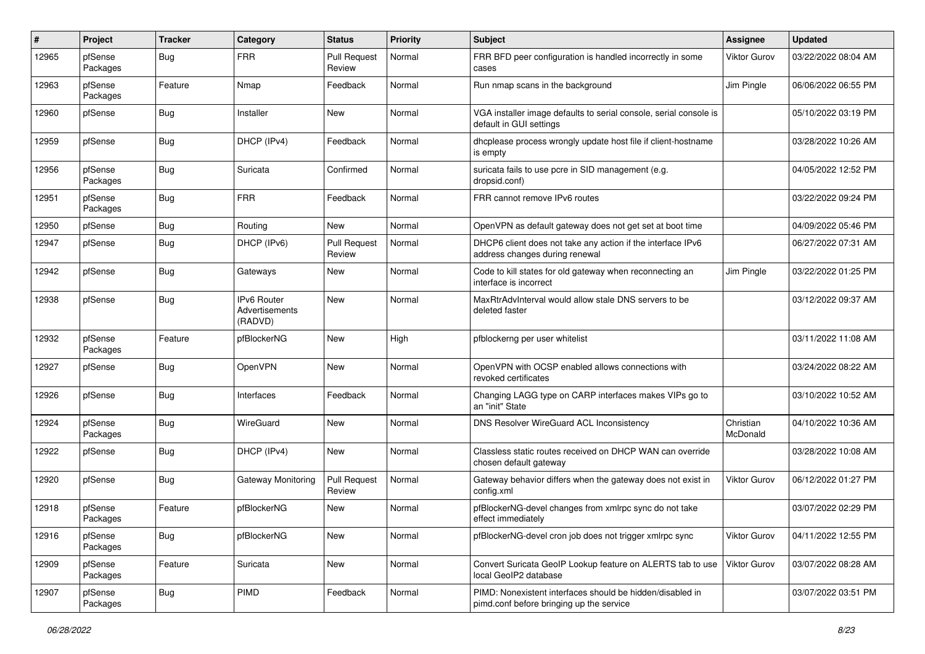| $\pmb{\#}$ | Project             | <b>Tracker</b> | Category                                        | <b>Status</b>                 | <b>Priority</b> | Subject                                                                                               | <b>Assignee</b>       | <b>Updated</b>      |
|------------|---------------------|----------------|-------------------------------------------------|-------------------------------|-----------------|-------------------------------------------------------------------------------------------------------|-----------------------|---------------------|
| 12965      | pfSense<br>Packages | Bug            | <b>FRR</b>                                      | <b>Pull Request</b><br>Review | Normal          | FRR BFD peer configuration is handled incorrectly in some<br>cases                                    | Viktor Gurov          | 03/22/2022 08:04 AM |
| 12963      | pfSense<br>Packages | Feature        | Nmap                                            | Feedback                      | Normal          | Run nmap scans in the background                                                                      | Jim Pingle            | 06/06/2022 06:55 PM |
| 12960      | pfSense             | <b>Bug</b>     | Installer                                       | New                           | Normal          | VGA installer image defaults to serial console, serial console is<br>default in GUI settings          |                       | 05/10/2022 03:19 PM |
| 12959      | pfSense             | Bug            | DHCP (IPv4)                                     | Feedback                      | Normal          | dhcplease process wrongly update host file if client-hostname<br>is empty                             |                       | 03/28/2022 10:26 AM |
| 12956      | pfSense<br>Packages | Bug            | Suricata                                        | Confirmed                     | Normal          | suricata fails to use pcre in SID management (e.g.<br>dropsid.conf)                                   |                       | 04/05/2022 12:52 PM |
| 12951      | pfSense<br>Packages | <b>Bug</b>     | <b>FRR</b>                                      | Feedback                      | Normal          | FRR cannot remove IPv6 routes                                                                         |                       | 03/22/2022 09:24 PM |
| 12950      | pfSense             | <b>Bug</b>     | Routing                                         | New                           | Normal          | OpenVPN as default gateway does not get set at boot time                                              |                       | 04/09/2022 05:46 PM |
| 12947      | pfSense             | Bug            | DHCP (IPv6)                                     | <b>Pull Request</b><br>Review | Normal          | DHCP6 client does not take any action if the interface IPv6<br>address changes during renewal         |                       | 06/27/2022 07:31 AM |
| 12942      | pfSense             | Bug            | Gateways                                        | New                           | Normal          | Code to kill states for old gateway when reconnecting an<br>interface is incorrect                    | Jim Pingle            | 03/22/2022 01:25 PM |
| 12938      | pfSense             | <b>Bug</b>     | <b>IPv6 Router</b><br>Advertisements<br>(RADVD) | New                           | Normal          | MaxRtrAdvInterval would allow stale DNS servers to be<br>deleted faster                               |                       | 03/12/2022 09:37 AM |
| 12932      | pfSense<br>Packages | Feature        | pfBlockerNG                                     | New                           | High            | pfblockerng per user whitelist                                                                        |                       | 03/11/2022 11:08 AM |
| 12927      | pfSense             | Bug            | OpenVPN                                         | New                           | Normal          | OpenVPN with OCSP enabled allows connections with<br>revoked certificates                             |                       | 03/24/2022 08:22 AM |
| 12926      | pfSense             | Bug            | Interfaces                                      | Feedback                      | Normal          | Changing LAGG type on CARP interfaces makes VIPs go to<br>an "init" State                             |                       | 03/10/2022 10:52 AM |
| 12924      | pfSense<br>Packages | Bug            | WireGuard                                       | New                           | Normal          | DNS Resolver WireGuard ACL Inconsistency                                                              | Christian<br>McDonald | 04/10/2022 10:36 AM |
| 12922      | pfSense             | Bug            | DHCP (IPv4)                                     | New                           | Normal          | Classless static routes received on DHCP WAN can override<br>chosen default gateway                   |                       | 03/28/2022 10:08 AM |
| 12920      | pfSense             | Bug            | <b>Gateway Monitoring</b>                       | <b>Pull Request</b><br>Review | Normal          | Gateway behavior differs when the gateway does not exist in<br>config.xml                             | Viktor Gurov          | 06/12/2022 01:27 PM |
| 12918      | pfSense<br>Packages | Feature        | pfBlockerNG                                     | New                           | Normal          | pfBlockerNG-devel changes from xmlrpc sync do not take<br>effect immediately                          |                       | 03/07/2022 02:29 PM |
| 12916      | pfSense<br>Packages | <b>Bug</b>     | pfBlockerNG                                     | New                           | Normal          | pfBlockerNG-devel cron job does not trigger xmlrpc sync                                               | <b>Viktor Gurov</b>   | 04/11/2022 12:55 PM |
| 12909      | pfSense<br>Packages | Feature        | Suricata                                        | New                           | Normal          | Convert Suricata GeoIP Lookup feature on ALERTS tab to use<br>local GeoIP2 database                   | Viktor Gurov          | 03/07/2022 08:28 AM |
| 12907      | pfSense<br>Packages | <b>Bug</b>     | <b>PIMD</b>                                     | Feedback                      | Normal          | PIMD: Nonexistent interfaces should be hidden/disabled in<br>pimd.conf before bringing up the service |                       | 03/07/2022 03:51 PM |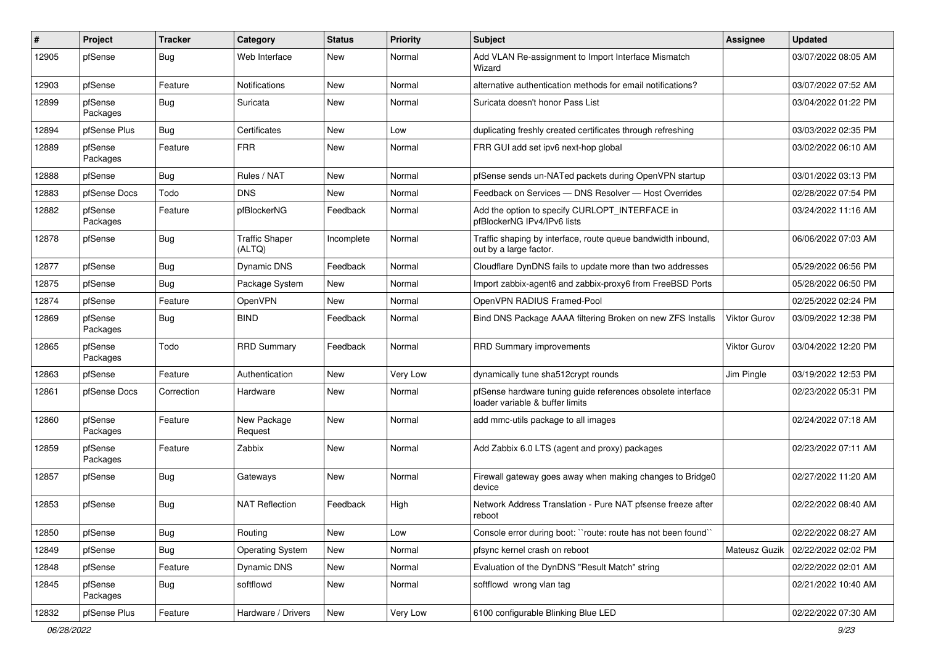| ∦     | Project             | <b>Tracker</b> | Category                        | <b>Status</b> | <b>Priority</b> | <b>Subject</b>                                                                                 | Assignee            | <b>Updated</b>      |
|-------|---------------------|----------------|---------------------------------|---------------|-----------------|------------------------------------------------------------------------------------------------|---------------------|---------------------|
| 12905 | pfSense             | Bug            | Web Interface                   | New           | Normal          | Add VLAN Re-assignment to Import Interface Mismatch<br>Wizard                                  |                     | 03/07/2022 08:05 AM |
| 12903 | pfSense             | Feature        | Notifications                   | New           | Normal          | alternative authentication methods for email notifications?                                    |                     | 03/07/2022 07:52 AM |
| 12899 | pfSense<br>Packages | Bug            | Suricata                        | New           | Normal          | Suricata doesn't honor Pass List                                                               |                     | 03/04/2022 01:22 PM |
| 12894 | pfSense Plus        | Bug            | Certificates                    | New           | Low             | duplicating freshly created certificates through refreshing                                    |                     | 03/03/2022 02:35 PM |
| 12889 | pfSense<br>Packages | Feature        | <b>FRR</b>                      | <b>New</b>    | Normal          | FRR GUI add set ipv6 next-hop global                                                           |                     | 03/02/2022 06:10 AM |
| 12888 | pfSense             | Bug            | Rules / NAT                     | New           | Normal          | pfSense sends un-NATed packets during OpenVPN startup                                          |                     | 03/01/2022 03:13 PM |
| 12883 | pfSense Docs        | Todo           | <b>DNS</b>                      | <b>New</b>    | Normal          | Feedback on Services - DNS Resolver - Host Overrides                                           |                     | 02/28/2022 07:54 PM |
| 12882 | pfSense<br>Packages | Feature        | pfBlockerNG                     | Feedback      | Normal          | Add the option to specify CURLOPT_INTERFACE in<br>pfBlockerNG IPv4/IPv6 lists                  |                     | 03/24/2022 11:16 AM |
| 12878 | pfSense             | Bug            | <b>Traffic Shaper</b><br>(ALTQ) | Incomplete    | Normal          | Traffic shaping by interface, route queue bandwidth inbound,<br>out by a large factor.         |                     | 06/06/2022 07:03 AM |
| 12877 | pfSense             | Bug            | Dynamic DNS                     | Feedback      | Normal          | Cloudflare DynDNS fails to update more than two addresses                                      |                     | 05/29/2022 06:56 PM |
| 12875 | pfSense             | Bug            | Package System                  | New           | Normal          | Import zabbix-agent6 and zabbix-proxy6 from FreeBSD Ports                                      |                     | 05/28/2022 06:50 PM |
| 12874 | pfSense             | Feature        | OpenVPN                         | New           | Normal          | OpenVPN RADIUS Framed-Pool                                                                     |                     | 02/25/2022 02:24 PM |
| 12869 | pfSense<br>Packages | Bug            | <b>BIND</b>                     | Feedback      | Normal          | Bind DNS Package AAAA filtering Broken on new ZFS Installs                                     | <b>Viktor Gurov</b> | 03/09/2022 12:38 PM |
| 12865 | pfSense<br>Packages | Todo           | <b>RRD Summary</b>              | Feedback      | Normal          | RRD Summary improvements                                                                       | <b>Viktor Gurov</b> | 03/04/2022 12:20 PM |
| 12863 | pfSense             | Feature        | Authentication                  | New           | Very Low        | dynamically tune sha512crypt rounds                                                            | Jim Pingle          | 03/19/2022 12:53 PM |
| 12861 | pfSense Docs        | Correction     | Hardware                        | New           | Normal          | pfSense hardware tuning guide references obsolete interface<br>loader variable & buffer limits |                     | 02/23/2022 05:31 PM |
| 12860 | pfSense<br>Packages | Feature        | New Package<br>Request          | New           | Normal          | add mmc-utils package to all images                                                            |                     | 02/24/2022 07:18 AM |
| 12859 | pfSense<br>Packages | Feature        | Zabbix                          | <b>New</b>    | Normal          | Add Zabbix 6.0 LTS (agent and proxy) packages                                                  |                     | 02/23/2022 07:11 AM |
| 12857 | pfSense             | <b>Bug</b>     | Gateways                        | <b>New</b>    | Normal          | Firewall gateway goes away when making changes to Bridge0<br>device                            |                     | 02/27/2022 11:20 AM |
| 12853 | pfSense             | Bug            | <b>NAT Reflection</b>           | Feedback      | High            | Network Address Translation - Pure NAT pfsense freeze after<br>reboot                          |                     | 02/22/2022 08:40 AM |
| 12850 | pfSense             | Bug            | Routing                         | New           | Low             | Console error during boot: "route: route has not been found"                                   |                     | 02/22/2022 08:27 AM |
| 12849 | pfSense             | <b>Bug</b>     | <b>Operating System</b>         | New           | Normal          | pfsync kernel crash on reboot                                                                  | Mateusz Guzik       | 02/22/2022 02:02 PM |
| 12848 | pfSense             | Feature        | Dynamic DNS                     | New           | Normal          | Evaluation of the DynDNS "Result Match" string                                                 |                     | 02/22/2022 02:01 AM |
| 12845 | pfSense<br>Packages | Bug            | softflowd                       | New           | Normal          | softflowd wrong vlan tag                                                                       |                     | 02/21/2022 10:40 AM |
| 12832 | pfSense Plus        | Feature        | Hardware / Drivers              | New           | Very Low        | 6100 configurable Blinking Blue LED                                                            |                     | 02/22/2022 07:30 AM |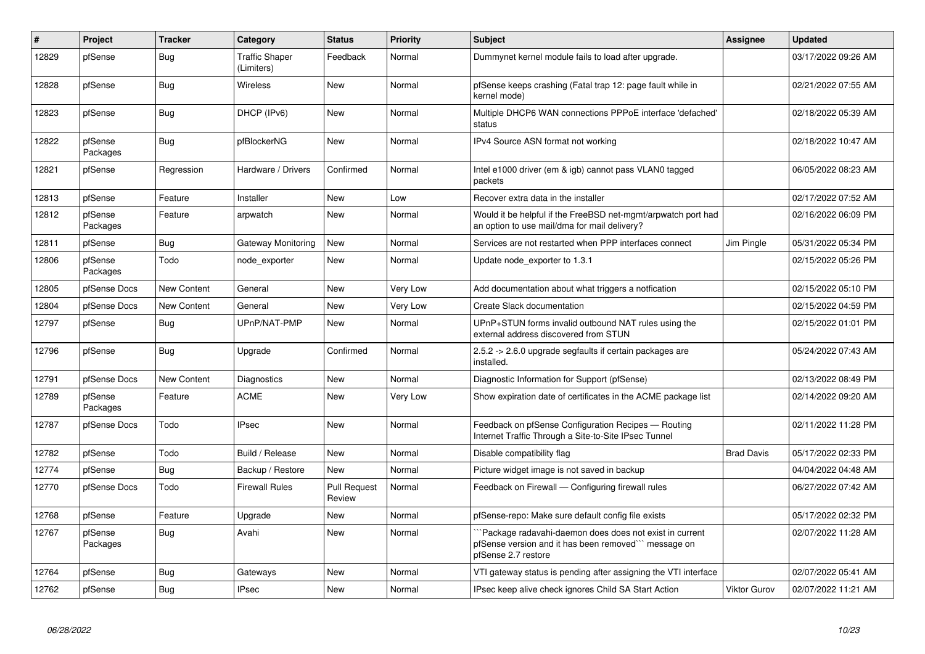| $\vert$ # | Project             | <b>Tracker</b>     | Category                            | <b>Status</b>                 | <b>Priority</b> | <b>Subject</b>                                                                                                                         | <b>Assignee</b>     | <b>Updated</b>      |
|-----------|---------------------|--------------------|-------------------------------------|-------------------------------|-----------------|----------------------------------------------------------------------------------------------------------------------------------------|---------------------|---------------------|
| 12829     | pfSense             | <b>Bug</b>         | <b>Traffic Shaper</b><br>(Limiters) | Feedback                      | Normal          | Dummynet kernel module fails to load after upgrade.                                                                                    |                     | 03/17/2022 09:26 AM |
| 12828     | pfSense             | <b>Bug</b>         | Wireless                            | New                           | Normal          | pfSense keeps crashing (Fatal trap 12: page fault while in<br>kernel mode)                                                             |                     | 02/21/2022 07:55 AM |
| 12823     | pfSense             | <b>Bug</b>         | DHCP (IPv6)                         | New                           | Normal          | Multiple DHCP6 WAN connections PPPoE interface 'defached'<br>status                                                                    |                     | 02/18/2022 05:39 AM |
| 12822     | pfSense<br>Packages | <b>Bug</b>         | pfBlockerNG                         | New                           | Normal          | IPv4 Source ASN format not working                                                                                                     |                     | 02/18/2022 10:47 AM |
| 12821     | pfSense             | Regression         | Hardware / Drivers                  | Confirmed                     | Normal          | Intel e1000 driver (em & igb) cannot pass VLAN0 tagged<br>packets                                                                      |                     | 06/05/2022 08:23 AM |
| 12813     | pfSense             | Feature            | Installer                           | <b>New</b>                    | Low             | Recover extra data in the installer                                                                                                    |                     | 02/17/2022 07:52 AM |
| 12812     | pfSense<br>Packages | Feature            | arpwatch                            | New                           | Normal          | Would it be helpful if the FreeBSD net-mgmt/arpwatch port had<br>an option to use mail/dma for mail delivery?                          |                     | 02/16/2022 06:09 PM |
| 12811     | pfSense             | <b>Bug</b>         | <b>Gateway Monitoring</b>           | <b>New</b>                    | Normal          | Services are not restarted when PPP interfaces connect                                                                                 | Jim Pingle          | 05/31/2022 05:34 PM |
| 12806     | pfSense<br>Packages | Todo               | node exporter                       | New                           | Normal          | Update node exporter to 1.3.1                                                                                                          |                     | 02/15/2022 05:26 PM |
| 12805     | pfSense Docs        | <b>New Content</b> | General                             | <b>New</b>                    | Very Low        | Add documentation about what triggers a notfication                                                                                    |                     | 02/15/2022 05:10 PM |
| 12804     | pfSense Docs        | New Content        | General                             | New                           | Very Low        | <b>Create Slack documentation</b>                                                                                                      |                     | 02/15/2022 04:59 PM |
| 12797     | pfSense             | Bug                | UPnP/NAT-PMP                        | <b>New</b>                    | Normal          | UPnP+STUN forms invalid outbound NAT rules using the<br>external address discovered from STUN                                          |                     | 02/15/2022 01:01 PM |
| 12796     | pfSense             | Bug                | Upgrade                             | Confirmed                     | Normal          | 2.5.2 -> 2.6.0 upgrade segfaults if certain packages are<br>installed.                                                                 |                     | 05/24/2022 07:43 AM |
| 12791     | pfSense Docs        | <b>New Content</b> | Diagnostics                         | <b>New</b>                    | Normal          | Diagnostic Information for Support (pfSense)                                                                                           |                     | 02/13/2022 08:49 PM |
| 12789     | pfSense<br>Packages | Feature            | <b>ACME</b>                         | New                           | Very Low        | Show expiration date of certificates in the ACME package list                                                                          |                     | 02/14/2022 09:20 AM |
| 12787     | pfSense Docs        | Todo               | <b>IPsec</b>                        | <b>New</b>                    | Normal          | Feedback on pfSense Configuration Recipes - Routing<br>Internet Traffic Through a Site-to-Site IPsec Tunnel                            |                     | 02/11/2022 11:28 PM |
| 12782     | pfSense             | Todo               | Build / Release                     | New                           | Normal          | Disable compatibility flag                                                                                                             | <b>Brad Davis</b>   | 05/17/2022 02:33 PM |
| 12774     | pfSense             | Bug                | Backup / Restore                    | New                           | Normal          | Picture widget image is not saved in backup                                                                                            |                     | 04/04/2022 04:48 AM |
| 12770     | pfSense Docs        | Todo               | <b>Firewall Rules</b>               | <b>Pull Request</b><br>Review | Normal          | Feedback on Firewall - Configuring firewall rules                                                                                      |                     | 06/27/2022 07:42 AM |
| 12768     | pfSense             | Feature            | Upgrade                             | <b>New</b>                    | Normal          | pfSense-repo: Make sure default config file exists                                                                                     |                     | 05/17/2022 02:32 PM |
| 12767     | pfSense<br>Packages | Bug                | Avahi                               | <b>New</b>                    | Normal          | Package radavahi-daemon does does not exist in current<br>pfSense version and it has been removed``` message on<br>pfSense 2.7 restore |                     | 02/07/2022 11:28 AM |
| 12764     | pfSense             | <b>Bug</b>         | Gateways                            | New                           | Normal          | VTI gateway status is pending after assigning the VTI interface                                                                        |                     | 02/07/2022 05:41 AM |
| 12762     | pfSense             | <b>Bug</b>         | <b>IPsec</b>                        | New                           | Normal          | IPsec keep alive check ignores Child SA Start Action                                                                                   | <b>Viktor Gurov</b> | 02/07/2022 11:21 AM |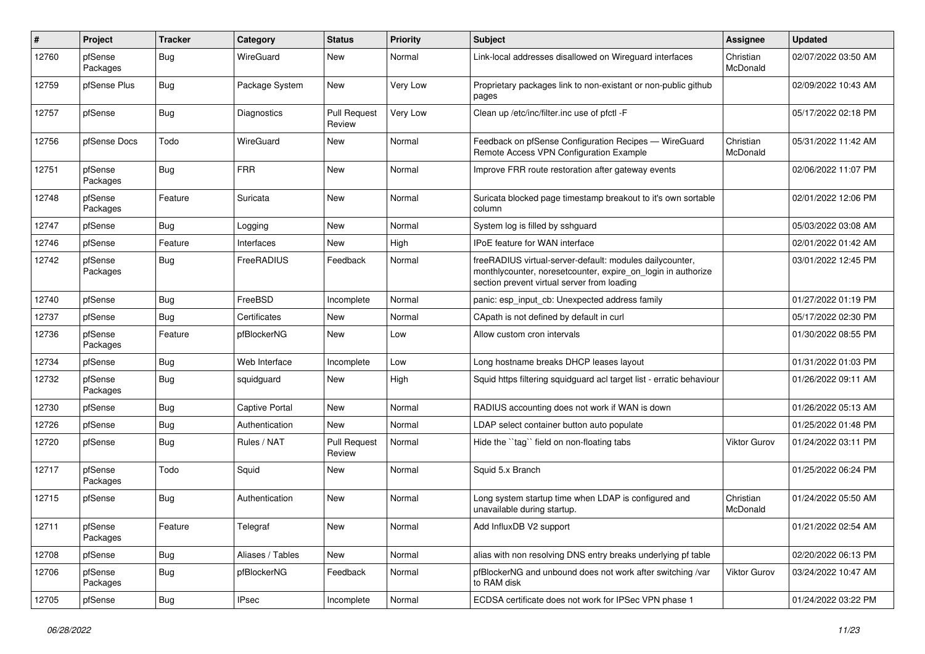| #     | Project             | <b>Tracker</b> | Category              | <b>Status</b>                 | <b>Priority</b> | <b>Subject</b>                                                                                                                                                          | <b>Assignee</b>       | <b>Updated</b>      |
|-------|---------------------|----------------|-----------------------|-------------------------------|-----------------|-------------------------------------------------------------------------------------------------------------------------------------------------------------------------|-----------------------|---------------------|
| 12760 | pfSense<br>Packages | <b>Bug</b>     | WireGuard             | New                           | Normal          | Link-local addresses disallowed on Wireguard interfaces                                                                                                                 | Christian<br>McDonald | 02/07/2022 03:50 AM |
| 12759 | pfSense Plus        | Bug            | Package System        | New                           | Very Low        | Proprietary packages link to non-existant or non-public github<br>pages                                                                                                 |                       | 02/09/2022 10:43 AM |
| 12757 | pfSense             | <b>Bug</b>     | Diagnostics           | <b>Pull Request</b><br>Review | Very Low        | Clean up /etc/inc/filter.inc use of pfctl -F                                                                                                                            |                       | 05/17/2022 02:18 PM |
| 12756 | pfSense Docs        | Todo           | WireGuard             | New                           | Normal          | Feedback on pfSense Configuration Recipes - WireGuard<br>Remote Access VPN Configuration Example                                                                        | Christian<br>McDonald | 05/31/2022 11:42 AM |
| 12751 | pfSense<br>Packages | Bug            | <b>FRR</b>            | New                           | Normal          | Improve FRR route restoration after gateway events                                                                                                                      |                       | 02/06/2022 11:07 PM |
| 12748 | pfSense<br>Packages | Feature        | Suricata              | <b>New</b>                    | Normal          | Suricata blocked page timestamp breakout to it's own sortable<br>column                                                                                                 |                       | 02/01/2022 12:06 PM |
| 12747 | pfSense             | <b>Bug</b>     | Logging               | <b>New</b>                    | Normal          | System log is filled by sshguard                                                                                                                                        |                       | 05/03/2022 03:08 AM |
| 12746 | pfSense             | Feature        | Interfaces            | New                           | High            | <b>IPoE</b> feature for WAN interface                                                                                                                                   |                       | 02/01/2022 01:42 AM |
| 12742 | pfSense<br>Packages | Bug            | FreeRADIUS            | Feedback                      | Normal          | freeRADIUS virtual-server-default: modules dailycounter,<br>monthlycounter, noresetcounter, expire_on_login in authorize<br>section prevent virtual server from loading |                       | 03/01/2022 12:45 PM |
| 12740 | pfSense             | <b>Bug</b>     | FreeBSD               | Incomplete                    | Normal          | panic: esp_input_cb: Unexpected address family                                                                                                                          |                       | 01/27/2022 01:19 PM |
| 12737 | pfSense             | Bug            | Certificates          | <b>New</b>                    | Normal          | CApath is not defined by default in curl                                                                                                                                |                       | 05/17/2022 02:30 PM |
| 12736 | pfSense<br>Packages | Feature        | pfBlockerNG           | New                           | Low             | Allow custom cron intervals                                                                                                                                             |                       | 01/30/2022 08:55 PM |
| 12734 | pfSense             | Bug            | Web Interface         | Incomplete                    | Low             | Long hostname breaks DHCP leases layout                                                                                                                                 |                       | 01/31/2022 01:03 PM |
| 12732 | pfSense<br>Packages | Bug            | squidguard            | New                           | High            | Squid https filtering squidguard acl target list - erratic behaviour                                                                                                    |                       | 01/26/2022 09:11 AM |
| 12730 | pfSense             | Bug            | <b>Captive Portal</b> | New                           | Normal          | RADIUS accounting does not work if WAN is down                                                                                                                          |                       | 01/26/2022 05:13 AM |
| 12726 | pfSense             | <b>Bug</b>     | Authentication        | New                           | Normal          | LDAP select container button auto populate                                                                                                                              |                       | 01/25/2022 01:48 PM |
| 12720 | pfSense             | <b>Bug</b>     | Rules / NAT           | <b>Pull Request</b><br>Review | Normal          | Hide the "tag" field on non-floating tabs                                                                                                                               | <b>Viktor Gurov</b>   | 01/24/2022 03:11 PM |
| 12717 | pfSense<br>Packages | Todo           | Squid                 | New                           | Normal          | Squid 5.x Branch                                                                                                                                                        |                       | 01/25/2022 06:24 PM |
| 12715 | pfSense             | Bug            | Authentication        | <b>New</b>                    | Normal          | Long system startup time when LDAP is configured and<br>unavailable during startup.                                                                                     | Christian<br>McDonald | 01/24/2022 05:50 AM |
| 12711 | pfSense<br>Packages | Feature        | Telegraf              | New                           | Normal          | Add InfluxDB V2 support                                                                                                                                                 |                       | 01/21/2022 02:54 AM |
| 12708 | pfSense             | Bug            | Aliases / Tables      | New                           | Normal          | alias with non resolving DNS entry breaks underlying pf table                                                                                                           |                       | 02/20/2022 06:13 PM |
| 12706 | pfSense<br>Packages | Bug            | pfBlockerNG           | Feedback                      | Normal          | pfBlockerNG and unbound does not work after switching /var<br>to RAM disk                                                                                               | <b>Viktor Gurov</b>   | 03/24/2022 10:47 AM |
| 12705 | pfSense             | Bug            | <b>IPsec</b>          | Incomplete                    | Normal          | ECDSA certificate does not work for IPSec VPN phase 1                                                                                                                   |                       | 01/24/2022 03:22 PM |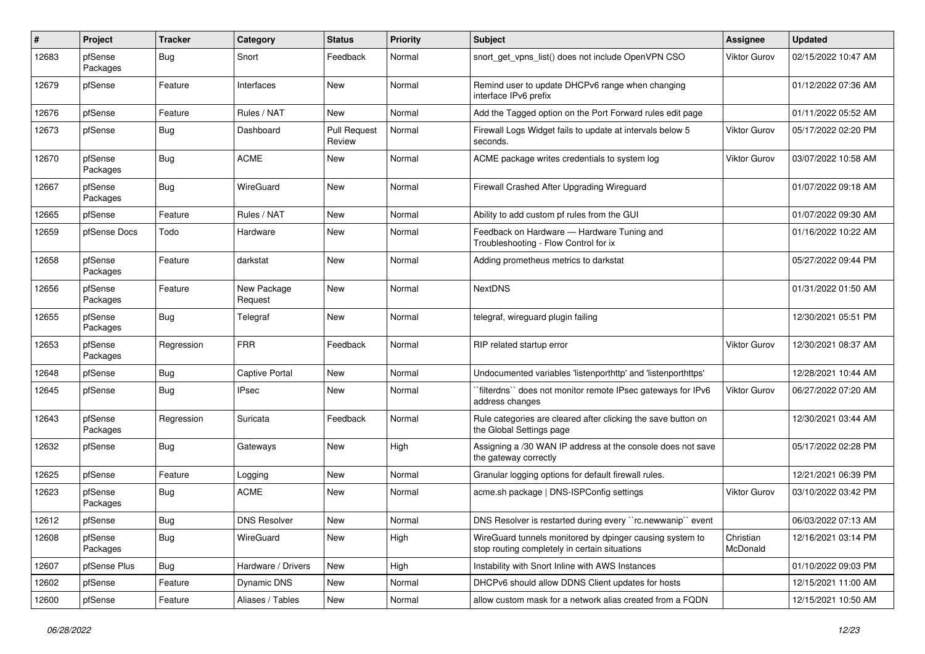| #     | Project             | <b>Tracker</b> | Category               | <b>Status</b>                 | <b>Priority</b> | Subject                                                                                                   | <b>Assignee</b>       | <b>Updated</b>      |
|-------|---------------------|----------------|------------------------|-------------------------------|-----------------|-----------------------------------------------------------------------------------------------------------|-----------------------|---------------------|
| 12683 | pfSense<br>Packages | <b>Bug</b>     | Snort                  | Feedback                      | Normal          | snort get vpns list() does not include OpenVPN CSO                                                        | Viktor Gurov          | 02/15/2022 10:47 AM |
| 12679 | pfSense             | Feature        | Interfaces             | <b>New</b>                    | Normal          | Remind user to update DHCPv6 range when changing<br>interface IPv6 prefix                                 |                       | 01/12/2022 07:36 AM |
| 12676 | pfSense             | Feature        | Rules / NAT            | <b>New</b>                    | Normal          | Add the Tagged option on the Port Forward rules edit page                                                 |                       | 01/11/2022 05:52 AM |
| 12673 | pfSense             | <b>Bug</b>     | Dashboard              | <b>Pull Request</b><br>Review | Normal          | Firewall Logs Widget fails to update at intervals below 5<br>seconds.                                     | <b>Viktor Gurov</b>   | 05/17/2022 02:20 PM |
| 12670 | pfSense<br>Packages | Bug            | <b>ACME</b>            | New                           | Normal          | ACME package writes credentials to system log                                                             | <b>Viktor Gurov</b>   | 03/07/2022 10:58 AM |
| 12667 | pfSense<br>Packages | <b>Bug</b>     | WireGuard              | New                           | Normal          | Firewall Crashed After Upgrading Wireguard                                                                |                       | 01/07/2022 09:18 AM |
| 12665 | pfSense             | Feature        | Rules / NAT            | New                           | Normal          | Ability to add custom pf rules from the GUI                                                               |                       | 01/07/2022 09:30 AM |
| 12659 | pfSense Docs        | Todo           | Hardware               | New                           | Normal          | Feedback on Hardware - Hardware Tuning and<br>Troubleshooting - Flow Control for ix                       |                       | 01/16/2022 10:22 AM |
| 12658 | pfSense<br>Packages | Feature        | darkstat               | New                           | Normal          | Adding prometheus metrics to darkstat                                                                     |                       | 05/27/2022 09:44 PM |
| 12656 | pfSense<br>Packages | Feature        | New Package<br>Request | New                           | Normal          | <b>NextDNS</b>                                                                                            |                       | 01/31/2022 01:50 AM |
| 12655 | pfSense<br>Packages | Bug            | Telegraf               | New                           | Normal          | telegraf, wireguard plugin failing                                                                        |                       | 12/30/2021 05:51 PM |
| 12653 | pfSense<br>Packages | Regression     | <b>FRR</b>             | Feedback                      | Normal          | RIP related startup error                                                                                 | <b>Viktor Gurov</b>   | 12/30/2021 08:37 AM |
| 12648 | pfSense             | <b>Bug</b>     | <b>Captive Portal</b>  | New                           | Normal          | Undocumented variables 'listenporthttp' and 'listenporthttps'                                             |                       | 12/28/2021 10:44 AM |
| 12645 | pfSense             | <b>Bug</b>     | <b>IPsec</b>           | New                           | Normal          | `filterdns`` does not monitor remote IPsec gateways for IPv6<br>address changes                           | <b>Viktor Gurov</b>   | 06/27/2022 07:20 AM |
| 12643 | pfSense<br>Packages | Regression     | Suricata               | Feedback                      | Normal          | Rule categories are cleared after clicking the save button on<br>the Global Settings page                 |                       | 12/30/2021 03:44 AM |
| 12632 | pfSense             | Bug            | Gateways               | New                           | High            | Assigning a /30 WAN IP address at the console does not save<br>the gateway correctly                      |                       | 05/17/2022 02:28 PM |
| 12625 | pfSense             | Feature        | Logging                | New                           | Normal          | Granular logging options for default firewall rules.                                                      |                       | 12/21/2021 06:39 PM |
| 12623 | pfSense<br>Packages | Bug            | <b>ACME</b>            | New                           | Normal          | acme.sh package   DNS-ISPConfig settings                                                                  | Viktor Gurov          | 03/10/2022 03:42 PM |
| 12612 | pfSense             | Bug            | <b>DNS Resolver</b>    | New                           | Normal          | DNS Resolver is restarted during every "rc.newwanip" event                                                |                       | 06/03/2022 07:13 AM |
| 12608 | pfSense<br>Packages | Bug            | WireGuard              | New                           | High            | WireGuard tunnels monitored by dpinger causing system to<br>stop routing completely in certain situations | Christian<br>McDonald | 12/16/2021 03:14 PM |
| 12607 | pfSense Plus        | Bug            | Hardware / Drivers     | New                           | High            | Instability with Snort Inline with AWS Instances                                                          |                       | 01/10/2022 09:03 PM |
| 12602 | pfSense             | Feature        | Dynamic DNS            | New                           | Normal          | DHCPv6 should allow DDNS Client updates for hosts                                                         |                       | 12/15/2021 11:00 AM |
| 12600 | pfSense             | Feature        | Aliases / Tables       | New                           | Normal          | allow custom mask for a network alias created from a FQDN                                                 |                       | 12/15/2021 10:50 AM |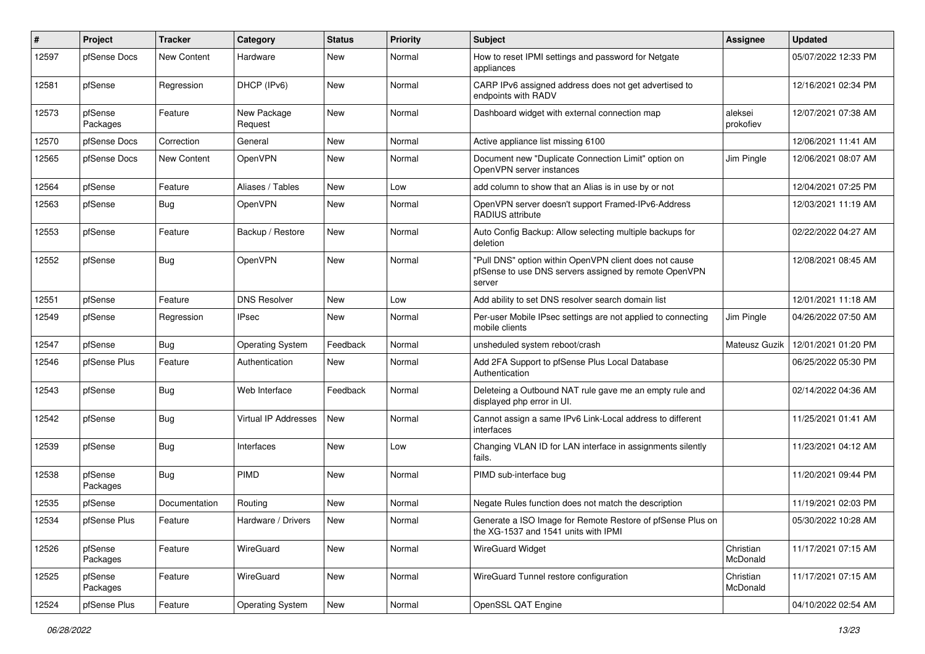| #     | Project             | <b>Tracker</b>     | Category                | <b>Status</b> | <b>Priority</b> | <b>Subject</b>                                                                                                            | Assignee              | <b>Updated</b>      |
|-------|---------------------|--------------------|-------------------------|---------------|-----------------|---------------------------------------------------------------------------------------------------------------------------|-----------------------|---------------------|
| 12597 | pfSense Docs        | <b>New Content</b> | Hardware                | New           | Normal          | How to reset IPMI settings and password for Netgate<br>appliances                                                         |                       | 05/07/2022 12:33 PM |
| 12581 | pfSense             | Regression         | DHCP (IPv6)             | New           | Normal          | CARP IPv6 assigned address does not get advertised to<br>endpoints with RADV                                              |                       | 12/16/2021 02:34 PM |
| 12573 | pfSense<br>Packages | Feature            | New Package<br>Request  | <b>New</b>    | Normal          | Dashboard widget with external connection map                                                                             | aleksei<br>prokofiev  | 12/07/2021 07:38 AM |
| 12570 | pfSense Docs        | Correction         | General                 | New           | Normal          | Active appliance list missing 6100                                                                                        |                       | 12/06/2021 11:41 AM |
| 12565 | pfSense Docs        | <b>New Content</b> | OpenVPN                 | New           | Normal          | Document new "Duplicate Connection Limit" option on<br>OpenVPN server instances                                           | Jim Pingle            | 12/06/2021 08:07 AM |
| 12564 | pfSense             | Feature            | Aliases / Tables        | New           | Low             | add column to show that an Alias is in use by or not                                                                      |                       | 12/04/2021 07:25 PM |
| 12563 | pfSense             | Bug                | OpenVPN                 | New           | Normal          | OpenVPN server doesn't support Framed-IPv6-Address<br>RADIUS attribute                                                    |                       | 12/03/2021 11:19 AM |
| 12553 | pfSense             | Feature            | Backup / Restore        | <b>New</b>    | Normal          | Auto Config Backup: Allow selecting multiple backups for<br>deletion                                                      |                       | 02/22/2022 04:27 AM |
| 12552 | pfSense             | Bug                | OpenVPN                 | New           | Normal          | "Pull DNS" option within OpenVPN client does not cause<br>pfSense to use DNS servers assigned by remote OpenVPN<br>server |                       | 12/08/2021 08:45 AM |
| 12551 | pfSense             | Feature            | <b>DNS Resolver</b>     | New           | Low             | Add ability to set DNS resolver search domain list                                                                        |                       | 12/01/2021 11:18 AM |
| 12549 | pfSense             | Regression         | IPsec                   | New           | Normal          | Per-user Mobile IPsec settings are not applied to connecting<br>mobile clients                                            | Jim Pingle            | 04/26/2022 07:50 AM |
| 12547 | pfSense             | Bug                | <b>Operating System</b> | Feedback      | Normal          | unsheduled system reboot/crash                                                                                            | Mateusz Guzik         | 12/01/2021 01:20 PM |
| 12546 | pfSense Plus        | Feature            | Authentication          | New           | Normal          | Add 2FA Support to pfSense Plus Local Database<br>Authentication                                                          |                       | 06/25/2022 05:30 PM |
| 12543 | pfSense             | Bug                | Web Interface           | Feedback      | Normal          | Deleteing a Outbound NAT rule gave me an empty rule and<br>displayed php error in UI.                                     |                       | 02/14/2022 04:36 AM |
| 12542 | pfSense             | Bug                | Virtual IP Addresses    | New           | Normal          | Cannot assign a same IPv6 Link-Local address to different<br>interfaces                                                   |                       | 11/25/2021 01:41 AM |
| 12539 | pfSense             | Bug                | Interfaces              | New           | Low             | Changing VLAN ID for LAN interface in assignments silently<br>fails.                                                      |                       | 11/23/2021 04:12 AM |
| 12538 | pfSense<br>Packages | Bug                | PIMD                    | New           | Normal          | PIMD sub-interface bug                                                                                                    |                       | 11/20/2021 09:44 PM |
| 12535 | pfSense             | Documentation      | Routing                 | New           | Normal          | Negate Rules function does not match the description                                                                      |                       | 11/19/2021 02:03 PM |
| 12534 | pfSense Plus        | Feature            | Hardware / Drivers      | New           | Normal          | Generate a ISO Image for Remote Restore of pfSense Plus on<br>the XG-1537 and 1541 units with IPMI                        |                       | 05/30/2022 10:28 AM |
| 12526 | pfSense<br>Packages | Feature            | WireGuard               | New           | Normal          | <b>WireGuard Widget</b>                                                                                                   | Christian<br>McDonald | 11/17/2021 07:15 AM |
| 12525 | pfSense<br>Packages | Feature            | WireGuard               | New           | Normal          | WireGuard Tunnel restore configuration                                                                                    | Christian<br>McDonald | 11/17/2021 07:15 AM |
| 12524 | pfSense Plus        | Feature            | <b>Operating System</b> | New           | Normal          | OpenSSL QAT Engine                                                                                                        |                       | 04/10/2022 02:54 AM |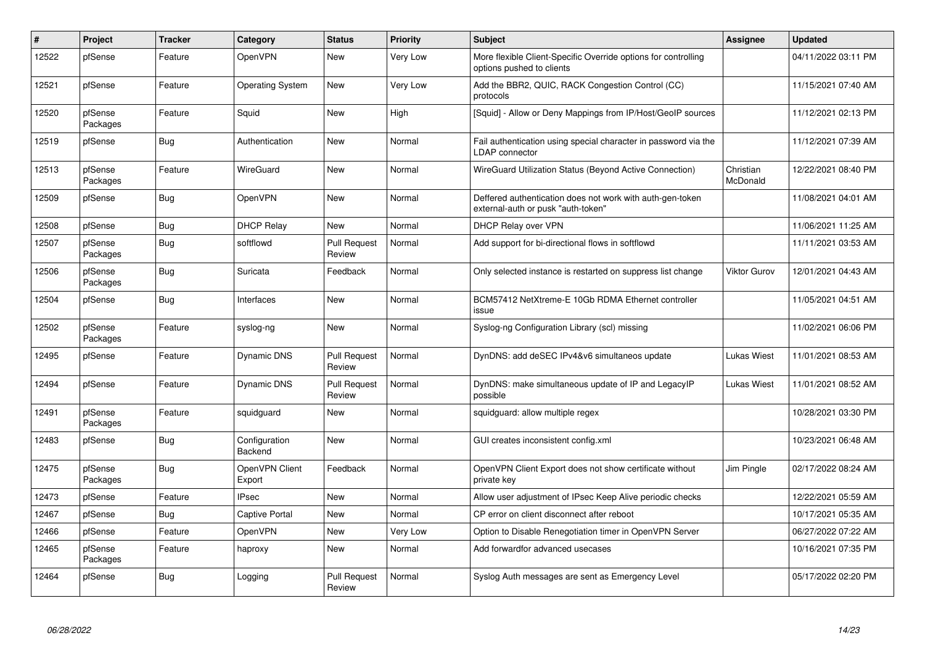| $\#$  | <b>Project</b>      | <b>Tracker</b> | Category                 | <b>Status</b>                 | <b>Priority</b> | Subject                                                                                         | Assignee              | <b>Updated</b>      |
|-------|---------------------|----------------|--------------------------|-------------------------------|-----------------|-------------------------------------------------------------------------------------------------|-----------------------|---------------------|
| 12522 | pfSense             | Feature        | OpenVPN                  | New                           | Very Low        | More flexible Client-Specific Override options for controlling<br>options pushed to clients     |                       | 04/11/2022 03:11 PM |
| 12521 | pfSense             | Feature        | <b>Operating System</b>  | New                           | Very Low        | Add the BBR2, QUIC, RACK Congestion Control (CC)<br>protocols                                   |                       | 11/15/2021 07:40 AM |
| 12520 | pfSense<br>Packages | Feature        | Squid                    | <b>New</b>                    | High            | [Squid] - Allow or Deny Mappings from IP/Host/GeoIP sources                                     |                       | 11/12/2021 02:13 PM |
| 12519 | pfSense             | <b>Bug</b>     | Authentication           | New                           | Normal          | Fail authentication using special character in password via the<br><b>LDAP</b> connector        |                       | 11/12/2021 07:39 AM |
| 12513 | pfSense<br>Packages | Feature        | WireGuard                | New                           | Normal          | WireGuard Utilization Status (Beyond Active Connection)                                         | Christian<br>McDonald | 12/22/2021 08:40 PM |
| 12509 | pfSense             | <b>Bug</b>     | OpenVPN                  | New                           | Normal          | Deffered authentication does not work with auth-gen-token<br>external-auth or pusk "auth-token" |                       | 11/08/2021 04:01 AM |
| 12508 | pfSense             | <b>Bug</b>     | <b>DHCP Relay</b>        | <b>New</b>                    | Normal          | DHCP Relay over VPN                                                                             |                       | 11/06/2021 11:25 AM |
| 12507 | pfSense<br>Packages | Bug            | softflowd                | <b>Pull Request</b><br>Review | Normal          | Add support for bi-directional flows in softflowd                                               |                       | 11/11/2021 03:53 AM |
| 12506 | pfSense<br>Packages | <b>Bug</b>     | Suricata                 | Feedback                      | Normal          | Only selected instance is restarted on suppress list change                                     | Viktor Gurov          | 12/01/2021 04:43 AM |
| 12504 | pfSense             | Bug            | Interfaces               | <b>New</b>                    | Normal          | BCM57412 NetXtreme-E 10Gb RDMA Ethernet controller<br>issue                                     |                       | 11/05/2021 04:51 AM |
| 12502 | pfSense<br>Packages | Feature        | syslog-ng                | <b>New</b>                    | Normal          | Syslog-ng Configuration Library (scl) missing                                                   |                       | 11/02/2021 06:06 PM |
| 12495 | pfSense             | Feature        | Dynamic DNS              | <b>Pull Request</b><br>Review | Normal          | DynDNS: add deSEC IPv4&v6 simultaneos update                                                    | <b>Lukas Wiest</b>    | 11/01/2021 08:53 AM |
| 12494 | pfSense             | Feature        | <b>Dynamic DNS</b>       | <b>Pull Request</b><br>Review | Normal          | DynDNS: make simultaneous update of IP and LegacyIP<br>possible                                 | Lukas Wiest           | 11/01/2021 08:52 AM |
| 12491 | pfSense<br>Packages | Feature        | squidguard               | <b>New</b>                    | Normal          | squidguard: allow multiple regex                                                                |                       | 10/28/2021 03:30 PM |
| 12483 | pfSense             | Bug            | Configuration<br>Backend | <b>New</b>                    | Normal          | GUI creates inconsistent config.xml                                                             |                       | 10/23/2021 06:48 AM |
| 12475 | pfSense<br>Packages | <b>Bug</b>     | OpenVPN Client<br>Export | Feedback                      | Normal          | OpenVPN Client Export does not show certificate without<br>private key                          | Jim Pingle            | 02/17/2022 08:24 AM |
| 12473 | pfSense             | Feature        | <b>IPsec</b>             | New                           | Normal          | Allow user adjustment of IPsec Keep Alive periodic checks                                       |                       | 12/22/2021 05:59 AM |
| 12467 | pfSense             | Bug            | Captive Portal           | <b>New</b>                    | Normal          | CP error on client disconnect after reboot                                                      |                       | 10/17/2021 05:35 AM |
| 12466 | pfSense             | Feature        | OpenVPN                  | <b>New</b>                    | Very Low        | Option to Disable Renegotiation timer in OpenVPN Server                                         |                       | 06/27/2022 07:22 AM |
| 12465 | pfSense<br>Packages | Feature        | haproxy                  | New                           | Normal          | Add forwardfor advanced usecases                                                                |                       | 10/16/2021 07:35 PM |
| 12464 | pfSense             | <b>Bug</b>     | Logging                  | <b>Pull Request</b><br>Review | Normal          | Syslog Auth messages are sent as Emergency Level                                                |                       | 05/17/2022 02:20 PM |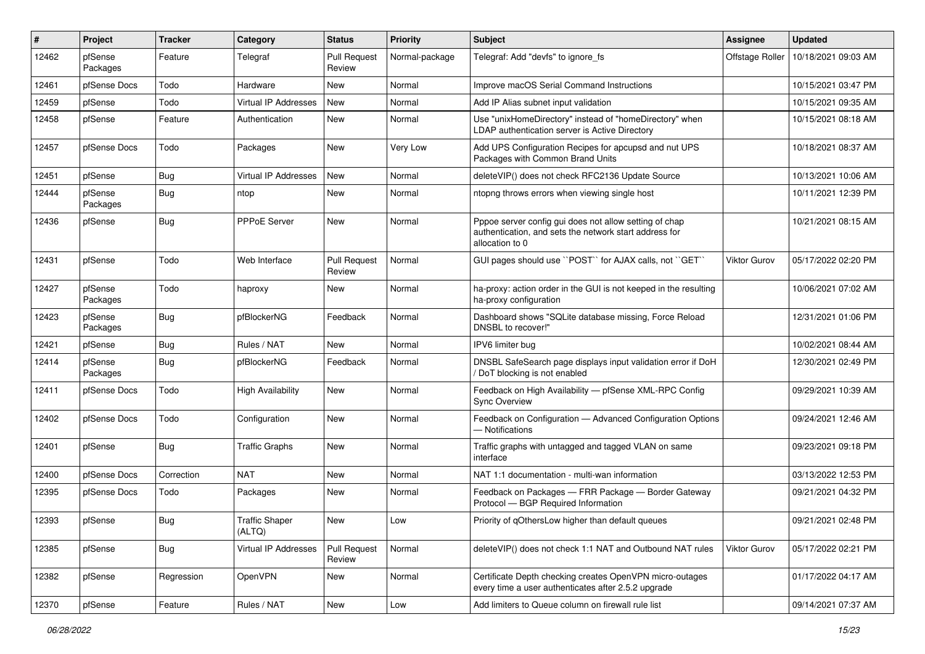| #     | Project             | <b>Tracker</b> | Category                        | <b>Status</b>                 | <b>Priority</b> | <b>Subject</b>                                                                                                                      | <b>Assignee</b>     | <b>Updated</b>      |
|-------|---------------------|----------------|---------------------------------|-------------------------------|-----------------|-------------------------------------------------------------------------------------------------------------------------------------|---------------------|---------------------|
| 12462 | pfSense<br>Packages | Feature        | Telegraf                        | <b>Pull Request</b><br>Review | Normal-package  | Telegraf: Add "devfs" to ignore fs                                                                                                  | Offstage Roller     | 10/18/2021 09:03 AM |
| 12461 | pfSense Docs        | Todo           | Hardware                        | New                           | Normal          | Improve macOS Serial Command Instructions                                                                                           |                     | 10/15/2021 03:47 PM |
| 12459 | pfSense             | Todo           | <b>Virtual IP Addresses</b>     | New                           | Normal          | Add IP Alias subnet input validation                                                                                                |                     | 10/15/2021 09:35 AM |
| 12458 | pfSense             | Feature        | Authentication                  | New                           | Normal          | Use "unixHomeDirectory" instead of "homeDirectory" when<br>LDAP authentication server is Active Directory                           |                     | 10/15/2021 08:18 AM |
| 12457 | pfSense Docs        | Todo           | Packages                        | New                           | Very Low        | Add UPS Configuration Recipes for apcupsd and nut UPS<br>Packages with Common Brand Units                                           |                     | 10/18/2021 08:37 AM |
| 12451 | pfSense             | <b>Bug</b>     | <b>Virtual IP Addresses</b>     | New                           | Normal          | deleteVIP() does not check RFC2136 Update Source                                                                                    |                     | 10/13/2021 10:06 AM |
| 12444 | pfSense<br>Packages | <b>Bug</b>     | ntop                            | New                           | Normal          | ntopng throws errors when viewing single host                                                                                       |                     | 10/11/2021 12:39 PM |
| 12436 | pfSense             | <b>Bug</b>     | <b>PPPoE Server</b>             | <b>New</b>                    | Normal          | Pppoe server config gui does not allow setting of chap<br>authentication, and sets the network start address for<br>allocation to 0 |                     | 10/21/2021 08:15 AM |
| 12431 | pfSense             | Todo           | Web Interface                   | <b>Pull Request</b><br>Review | Normal          | GUI pages should use "POST" for AJAX calls, not "GET"                                                                               | <b>Viktor Gurov</b> | 05/17/2022 02:20 PM |
| 12427 | pfSense<br>Packages | Todo           | haproxy                         | New                           | Normal          | ha-proxy: action order in the GUI is not keeped in the resulting<br>ha-proxy configuration                                          |                     | 10/06/2021 07:02 AM |
| 12423 | pfSense<br>Packages | <b>Bug</b>     | pfBlockerNG                     | Feedback                      | Normal          | Dashboard shows "SQLite database missing, Force Reload<br>DNSBL to recover!"                                                        |                     | 12/31/2021 01:06 PM |
| 12421 | pfSense             | <b>Bug</b>     | Rules / NAT                     | New                           | Normal          | IPV6 limiter bug                                                                                                                    |                     | 10/02/2021 08:44 AM |
| 12414 | pfSense<br>Packages | <b>Bug</b>     | pfBlockerNG                     | Feedback                      | Normal          | DNSBL SafeSearch page displays input validation error if DoH<br>/ DoT blocking is not enabled                                       |                     | 12/30/2021 02:49 PM |
| 12411 | pfSense Docs        | Todo           | <b>High Availability</b>        | New                           | Normal          | Feedback on High Availability - pfSense XML-RPC Config<br><b>Sync Overview</b>                                                      |                     | 09/29/2021 10:39 AM |
| 12402 | pfSense Docs        | Todo           | Configuration                   | New                           | Normal          | Feedback on Configuration - Advanced Configuration Options<br>- Notifications                                                       |                     | 09/24/2021 12:46 AM |
| 12401 | pfSense             | <b>Bug</b>     | <b>Traffic Graphs</b>           | New                           | Normal          | Traffic graphs with untagged and tagged VLAN on same<br>interface                                                                   |                     | 09/23/2021 09:18 PM |
| 12400 | pfSense Docs        | Correction     | <b>NAT</b>                      | New                           | Normal          | NAT 1:1 documentation - multi-wan information                                                                                       |                     | 03/13/2022 12:53 PM |
| 12395 | pfSense Docs        | Todo           | Packages                        | New                           | Normal          | Feedback on Packages - FRR Package - Border Gateway<br>Protocol - BGP Required Information                                          |                     | 09/21/2021 04:32 PM |
| 12393 | pfSense             | Bug            | <b>Traffic Shaper</b><br>(ALTQ) | New                           | Low             | Priority of qOthersLow higher than default queues                                                                                   |                     | 09/21/2021 02:48 PM |
| 12385 | pfSense             | <b>Bug</b>     | Virtual IP Addresses            | <b>Pull Request</b><br>Review | Normal          | deleteVIP() does not check 1:1 NAT and Outbound NAT rules                                                                           | <b>Viktor Gurov</b> | 05/17/2022 02:21 PM |
| 12382 | pfSense             | Regression     | OpenVPN                         | New                           | Normal          | Certificate Depth checking creates OpenVPN micro-outages<br>every time a user authenticates after 2.5.2 upgrade                     |                     | 01/17/2022 04:17 AM |
| 12370 | pfSense             | Feature        | Rules / NAT                     | New                           | Low             | Add limiters to Queue column on firewall rule list                                                                                  |                     | 09/14/2021 07:37 AM |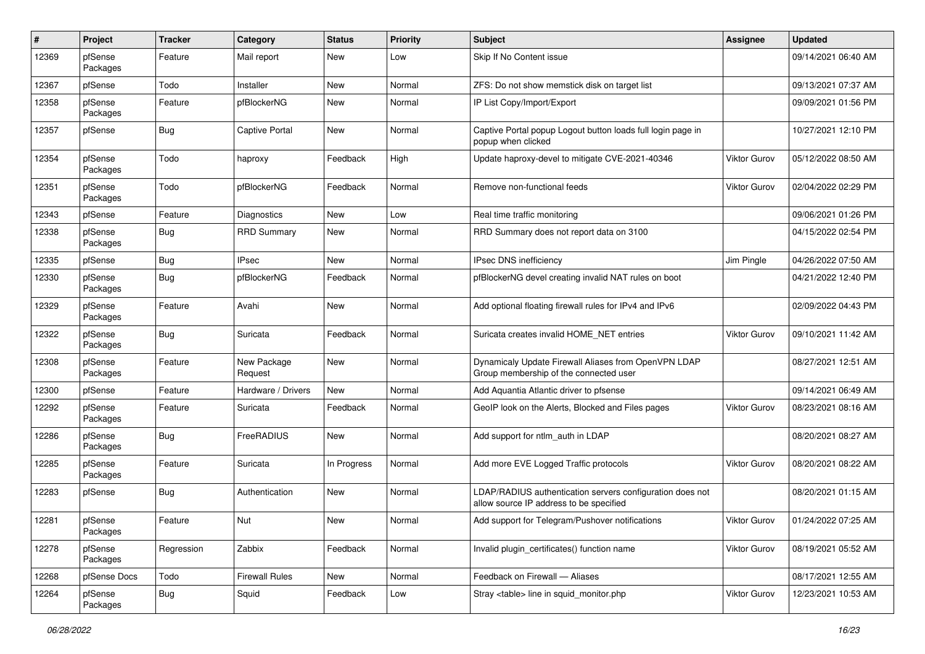| ∦     | Project             | Tracker    | Category               | <b>Status</b> | <b>Priority</b> | Subject                                                                                              | <b>Assignee</b> | <b>Updated</b>      |
|-------|---------------------|------------|------------------------|---------------|-----------------|------------------------------------------------------------------------------------------------------|-----------------|---------------------|
| 12369 | pfSense<br>Packages | Feature    | Mail report            | New           | Low             | Skip If No Content issue                                                                             |                 | 09/14/2021 06:40 AM |
| 12367 | pfSense             | Todo       | Installer              | New           | Normal          | ZFS: Do not show memstick disk on target list                                                        |                 | 09/13/2021 07:37 AM |
| 12358 | pfSense<br>Packages | Feature    | pfBlockerNG            | New           | Normal          | IP List Copy/Import/Export                                                                           |                 | 09/09/2021 01:56 PM |
| 12357 | pfSense             | Bug        | <b>Captive Portal</b>  | <b>New</b>    | Normal          | Captive Portal popup Logout button loads full login page in<br>popup when clicked                    |                 | 10/27/2021 12:10 PM |
| 12354 | pfSense<br>Packages | Todo       | haproxy                | Feedback      | High            | Update haproxy-devel to mitigate CVE-2021-40346                                                      | Viktor Gurov    | 05/12/2022 08:50 AM |
| 12351 | pfSense<br>Packages | Todo       | pfBlockerNG            | Feedback      | Normal          | Remove non-functional feeds                                                                          | Viktor Gurov    | 02/04/2022 02:29 PM |
| 12343 | pfSense             | Feature    | Diagnostics            | <b>New</b>    | Low             | Real time traffic monitoring                                                                         |                 | 09/06/2021 01:26 PM |
| 12338 | pfSense<br>Packages | <b>Bug</b> | <b>RRD Summary</b>     | New           | Normal          | RRD Summary does not report data on 3100                                                             |                 | 04/15/2022 02:54 PM |
| 12335 | pfSense             | Bug        | <b>IPsec</b>           | <b>New</b>    | Normal          | IPsec DNS inefficiency                                                                               | Jim Pingle      | 04/26/2022 07:50 AM |
| 12330 | pfSense<br>Packages | <b>Bug</b> | pfBlockerNG            | Feedback      | Normal          | pfBlockerNG devel creating invalid NAT rules on boot                                                 |                 | 04/21/2022 12:40 PM |
| 12329 | pfSense<br>Packages | Feature    | Avahi                  | New           | Normal          | Add optional floating firewall rules for IPv4 and IPv6                                               |                 | 02/09/2022 04:43 PM |
| 12322 | pfSense<br>Packages | <b>Bug</b> | Suricata               | Feedback      | Normal          | Suricata creates invalid HOME NET entries                                                            | Viktor Gurov    | 09/10/2021 11:42 AM |
| 12308 | pfSense<br>Packages | Feature    | New Package<br>Request | New           | Normal          | Dynamicaly Update Firewall Aliases from OpenVPN LDAP<br>Group membership of the connected user       |                 | 08/27/2021 12:51 AM |
| 12300 | pfSense             | Feature    | Hardware / Drivers     | New           | Normal          | Add Aquantia Atlantic driver to pfsense                                                              |                 | 09/14/2021 06:49 AM |
| 12292 | pfSense<br>Packages | Feature    | Suricata               | Feedback      | Normal          | GeoIP look on the Alerts, Blocked and Files pages                                                    | Viktor Gurov    | 08/23/2021 08:16 AM |
| 12286 | pfSense<br>Packages | <b>Bug</b> | FreeRADIUS             | <b>New</b>    | Normal          | Add support for ntlm_auth in LDAP                                                                    |                 | 08/20/2021 08:27 AM |
| 12285 | pfSense<br>Packages | Feature    | Suricata               | In Progress   | Normal          | Add more EVE Logged Traffic protocols                                                                | Viktor Gurov    | 08/20/2021 08:22 AM |
| 12283 | pfSense             | Bug        | Authentication         | New           | Normal          | LDAP/RADIUS authentication servers configuration does not<br>allow source IP address to be specified |                 | 08/20/2021 01:15 AM |
| 12281 | pfSense<br>Packages | Feature    | Nut                    | New           | Normal          | Add support for Telegram/Pushover notifications                                                      | Viktor Gurov    | 01/24/2022 07:25 AM |
| 12278 | pfSense<br>Packages | Regression | Zabbix                 | Feedback      | Normal          | Invalid plugin_certificates() function name                                                          | Viktor Gurov    | 08/19/2021 05:52 AM |
| 12268 | pfSense Docs        | Todo       | <b>Firewall Rules</b>  | New           | Normal          | Feedback on Firewall - Aliases                                                                       |                 | 08/17/2021 12:55 AM |
| 12264 | pfSense<br>Packages | <b>Bug</b> | Squid                  | Feedback      | Low             | Stray <table> line in squid_monitor.php</table>                                                      | Viktor Gurov    | 12/23/2021 10:53 AM |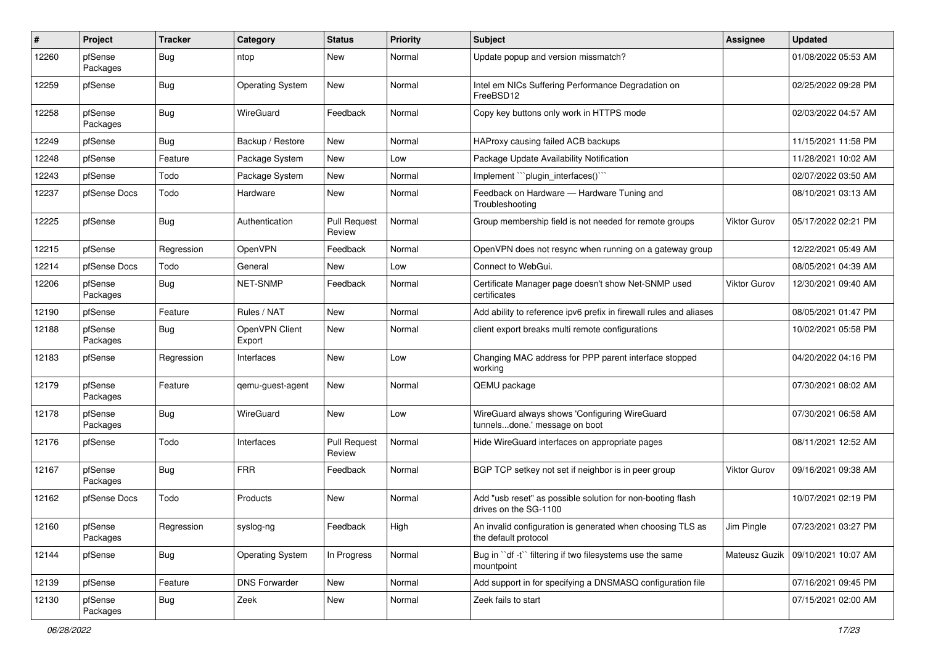| #     | Project             | <b>Tracker</b> | Category                 | <b>Status</b>                 | <b>Priority</b> | <b>Subject</b>                                                                      | Assignee            | <b>Updated</b>      |
|-------|---------------------|----------------|--------------------------|-------------------------------|-----------------|-------------------------------------------------------------------------------------|---------------------|---------------------|
| 12260 | pfSense<br>Packages | Bug            | ntop                     | New                           | Normal          | Update popup and version missmatch?                                                 |                     | 01/08/2022 05:53 AM |
| 12259 | pfSense             | Bug            | <b>Operating System</b>  | New                           | Normal          | Intel em NICs Suffering Performance Degradation on<br>FreeBSD12                     |                     | 02/25/2022 09:28 PM |
| 12258 | pfSense<br>Packages | Bug            | WireGuard                | Feedback                      | Normal          | Copy key buttons only work in HTTPS mode                                            |                     | 02/03/2022 04:57 AM |
| 12249 | pfSense             | Bug            | Backup / Restore         | New                           | Normal          | HAProxy causing failed ACB backups                                                  |                     | 11/15/2021 11:58 PM |
| 12248 | pfSense             | Feature        | Package System           | New                           | Low             | Package Update Availability Notification                                            |                     | 11/28/2021 10:02 AM |
| 12243 | pfSense             | Todo           | Package System           | New                           | Normal          | Implement "plugin_interfaces()"                                                     |                     | 02/07/2022 03:50 AM |
| 12237 | pfSense Docs        | Todo           | Hardware                 | New                           | Normal          | Feedback on Hardware - Hardware Tuning and<br>Troubleshooting                       |                     | 08/10/2021 03:13 AM |
| 12225 | pfSense             | Bug            | Authentication           | <b>Pull Request</b><br>Review | Normal          | Group membership field is not needed for remote groups                              | <b>Viktor Gurov</b> | 05/17/2022 02:21 PM |
| 12215 | pfSense             | Regression     | OpenVPN                  | Feedback                      | Normal          | OpenVPN does not resync when running on a gateway group                             |                     | 12/22/2021 05:49 AM |
| 12214 | pfSense Docs        | Todo           | General                  | New                           | Low             | Connect to WebGui.                                                                  |                     | 08/05/2021 04:39 AM |
| 12206 | pfSense<br>Packages | Bug            | <b>NET-SNMP</b>          | Feedback                      | Normal          | Certificate Manager page doesn't show Net-SNMP used<br>certificates                 | Viktor Gurov        | 12/30/2021 09:40 AM |
| 12190 | pfSense             | Feature        | Rules / NAT              | New                           | Normal          | Add ability to reference ipv6 prefix in firewall rules and aliases                  |                     | 08/05/2021 01:47 PM |
| 12188 | pfSense<br>Packages | Bug            | OpenVPN Client<br>Export | New                           | Normal          | client export breaks multi remote configurations                                    |                     | 10/02/2021 05:58 PM |
| 12183 | pfSense             | Regression     | Interfaces               | New                           | Low             | Changing MAC address for PPP parent interface stopped<br>working                    |                     | 04/20/2022 04:16 PM |
| 12179 | pfSense<br>Packages | Feature        | qemu-guest-agent         | New                           | Normal          | QEMU package                                                                        |                     | 07/30/2021 08:02 AM |
| 12178 | pfSense<br>Packages | Bug            | WireGuard                | <b>New</b>                    | Low             | WireGuard always shows 'Configuring WireGuard<br>tunnelsdone.' message on boot      |                     | 07/30/2021 06:58 AM |
| 12176 | pfSense             | Todo           | Interfaces               | <b>Pull Request</b><br>Review | Normal          | Hide WireGuard interfaces on appropriate pages                                      |                     | 08/11/2021 12:52 AM |
| 12167 | pfSense<br>Packages | Bug            | <b>FRR</b>               | Feedback                      | Normal          | BGP TCP setkey not set if neighbor is in peer group                                 | Viktor Gurov        | 09/16/2021 09:38 AM |
| 12162 | pfSense Docs        | Todo           | Products                 | <b>New</b>                    | Normal          | Add "usb reset" as possible solution for non-booting flash<br>drives on the SG-1100 |                     | 10/07/2021 02:19 PM |
| 12160 | pfSense<br>Packages | Regression     | syslog-ng                | Feedback                      | High            | An invalid configuration is generated when choosing TLS as<br>the default protocol  | Jim Pingle          | 07/23/2021 03:27 PM |
| 12144 | pfSense             | <b>Bug</b>     | <b>Operating System</b>  | In Progress                   | Normal          | Bug in "df -t" filtering if two filesystems use the same<br>mountpoint              | Mateusz Guzik       | 09/10/2021 10:07 AM |
| 12139 | pfSense             | Feature        | <b>DNS Forwarder</b>     | New                           | Normal          | Add support in for specifying a DNSMASQ configuration file                          |                     | 07/16/2021 09:45 PM |
| 12130 | pfSense<br>Packages | Bug            | Zeek                     | New                           | Normal          | Zeek fails to start                                                                 |                     | 07/15/2021 02:00 AM |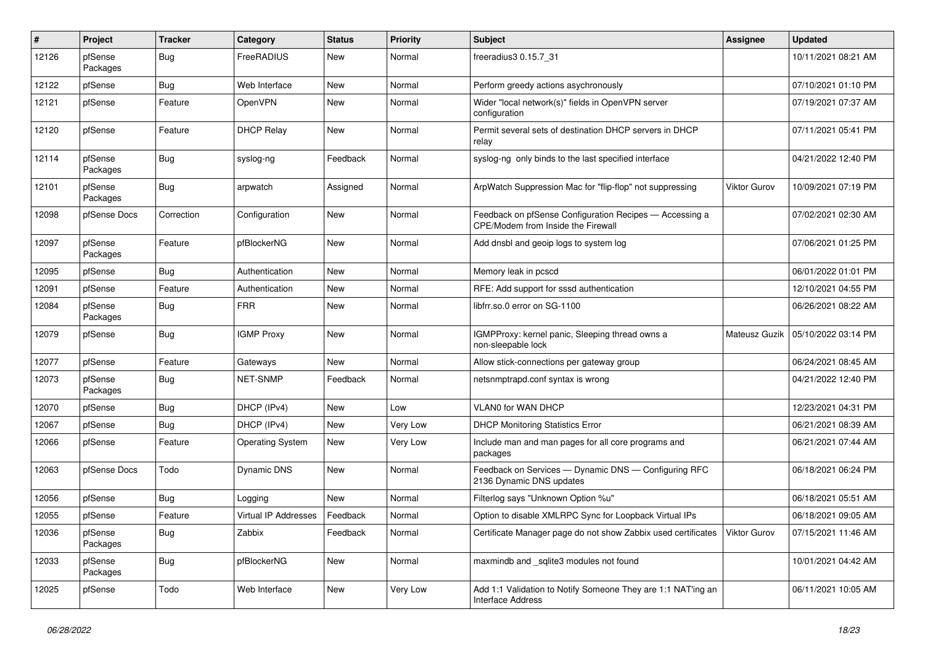| #     | Project             | <b>Tracker</b> | Category                | <b>Status</b> | <b>Priority</b> | <b>Subject</b>                                                                                | <b>Assignee</b> | <b>Updated</b>      |
|-------|---------------------|----------------|-------------------------|---------------|-----------------|-----------------------------------------------------------------------------------------------|-----------------|---------------------|
| 12126 | pfSense<br>Packages | <b>Bug</b>     | FreeRADIUS              | New           | Normal          | freeradius3 0.15.7_31                                                                         |                 | 10/11/2021 08:21 AM |
| 12122 | pfSense             | Bug            | Web Interface           | New           | Normal          | Perform greedy actions asychronously                                                          |                 | 07/10/2021 01:10 PM |
| 12121 | pfSense             | Feature        | OpenVPN                 | New           | Normal          | Wider "local network(s)" fields in OpenVPN server<br>configuration                            |                 | 07/19/2021 07:37 AM |
| 12120 | pfSense             | Feature        | <b>DHCP Relay</b>       | <b>New</b>    | Normal          | Permit several sets of destination DHCP servers in DHCP<br>relay                              |                 | 07/11/2021 05:41 PM |
| 12114 | pfSense<br>Packages | Bug            | syslog-ng               | Feedback      | Normal          | syslog-ng only binds to the last specified interface                                          |                 | 04/21/2022 12:40 PM |
| 12101 | pfSense<br>Packages | Bug            | arpwatch                | Assigned      | Normal          | ArpWatch Suppression Mac for "flip-flop" not suppressing                                      | Viktor Gurov    | 10/09/2021 07:19 PM |
| 12098 | pfSense Docs        | Correction     | Configuration           | New           | Normal          | Feedback on pfSense Configuration Recipes - Accessing a<br>CPE/Modem from Inside the Firewall |                 | 07/02/2021 02:30 AM |
| 12097 | pfSense<br>Packages | Feature        | pfBlockerNG             | New           | Normal          | Add dnsbl and geoip logs to system log                                                        |                 | 07/06/2021 01:25 PM |
| 12095 | pfSense             | <b>Bug</b>     | Authentication          | <b>New</b>    | Normal          | Memory leak in pcscd                                                                          |                 | 06/01/2022 01:01 PM |
| 12091 | pfSense             | Feature        | Authentication          | New           | Normal          | RFE: Add support for sssd authentication                                                      |                 | 12/10/2021 04:55 PM |
| 12084 | pfSense<br>Packages | Bug            | <b>FRR</b>              | New           | Normal          | libfrr.so.0 error on SG-1100                                                                  |                 | 06/26/2021 08:22 AM |
| 12079 | pfSense             | Bug            | <b>IGMP Proxy</b>       | New           | Normal          | IGMPProxy: kernel panic, Sleeping thread owns a<br>non-sleepable lock                         | Mateusz Guzik   | 05/10/2022 03:14 PM |
| 12077 | pfSense             | Feature        | Gateways                | New           | Normal          | Allow stick-connections per gateway group                                                     |                 | 06/24/2021 08:45 AM |
| 12073 | pfSense<br>Packages | Bug            | NET-SNMP                | Feedback      | Normal          | netsnmptrapd.conf syntax is wrong                                                             |                 | 04/21/2022 12:40 PM |
| 12070 | pfSense             | Bug            | DHCP (IPv4)             | New           | Low             | <b>VLAN0 for WAN DHCP</b>                                                                     |                 | 12/23/2021 04:31 PM |
| 12067 | pfSense             | Bug            | DHCP (IPv4)             | New           | Very Low        | <b>DHCP Monitoring Statistics Error</b>                                                       |                 | 06/21/2021 08:39 AM |
| 12066 | pfSense             | Feature        | <b>Operating System</b> | New           | Very Low        | Include man and man pages for all core programs and<br>packages                               |                 | 06/21/2021 07:44 AM |
| 12063 | pfSense Docs        | Todo           | Dynamic DNS             | New           | Normal          | Feedback on Services - Dynamic DNS - Configuring RFC<br>2136 Dynamic DNS updates              |                 | 06/18/2021 06:24 PM |
| 12056 | pfSense             | Bug            | Logging                 | <b>New</b>    | Normal          | Filterlog says "Unknown Option %u"                                                            |                 | 06/18/2021 05:51 AM |
| 12055 | pfSense             | Feature        | Virtual IP Addresses    | Feedback      | Normal          | Option to disable XMLRPC Sync for Loopback Virtual IPs                                        |                 | 06/18/2021 09:05 AM |
| 12036 | pfSense<br>Packages | Bug            | Zabbix                  | Feedback      | Normal          | Certificate Manager page do not show Zabbix used certificates                                 | Viktor Gurov    | 07/15/2021 11:46 AM |
| 12033 | pfSense<br>Packages | <b>Bug</b>     | pfBlockerNG             | New           | Normal          | maxmindb and _sqlite3 modules not found                                                       |                 | 10/01/2021 04:42 AM |
| 12025 | pfSense             | Todo           | Web Interface           | New           | Very Low        | Add 1:1 Validation to Notify Someone They are 1:1 NAT'ing an<br>Interface Address             |                 | 06/11/2021 10:05 AM |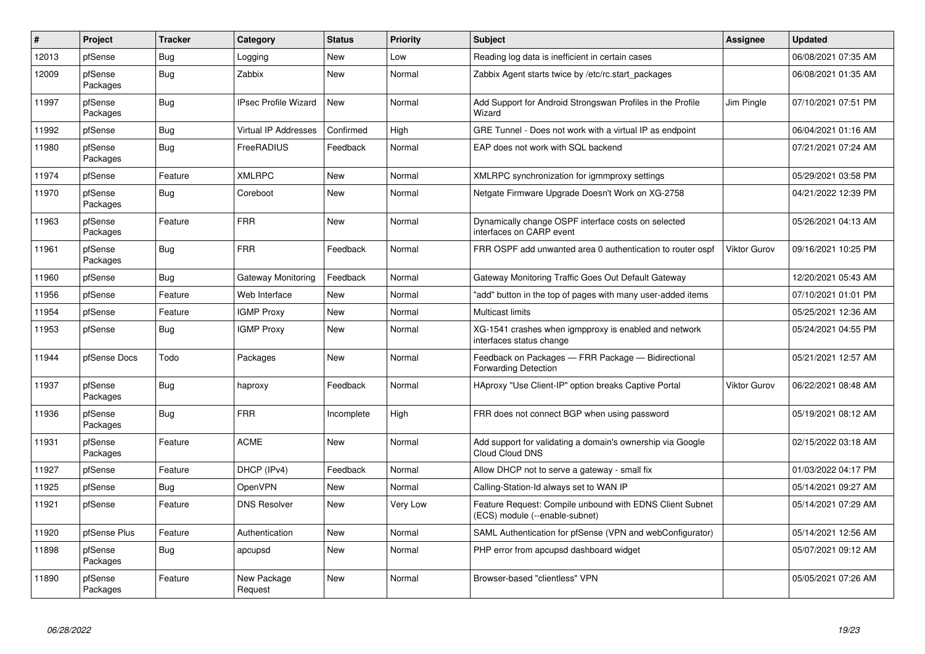| #     | Project             | <b>Tracker</b> | Category                    | <b>Status</b> | <b>Priority</b> | <b>Subject</b>                                                                             | <b>Assignee</b>     | <b>Updated</b>      |
|-------|---------------------|----------------|-----------------------------|---------------|-----------------|--------------------------------------------------------------------------------------------|---------------------|---------------------|
| 12013 | pfSense             | Bug            | Logging                     | <b>New</b>    | Low             | Reading log data is inefficient in certain cases                                           |                     | 06/08/2021 07:35 AM |
| 12009 | pfSense<br>Packages | <b>Bug</b>     | Zabbix                      | <b>New</b>    | Normal          | Zabbix Agent starts twice by /etc/rc.start packages                                        |                     | 06/08/2021 01:35 AM |
| 11997 | pfSense<br>Packages | <b>Bug</b>     | <b>IPsec Profile Wizard</b> | <b>New</b>    | Normal          | Add Support for Android Strongswan Profiles in the Profile<br>Wizard                       | <b>Jim Pingle</b>   | 07/10/2021 07:51 PM |
| 11992 | pfSense             | Bug            | <b>Virtual IP Addresses</b> | Confirmed     | High            | GRE Tunnel - Does not work with a virtual IP as endpoint                                   |                     | 06/04/2021 01:16 AM |
| 11980 | pfSense<br>Packages | <b>Bug</b>     | FreeRADIUS                  | Feedback      | Normal          | EAP does not work with SQL backend                                                         |                     | 07/21/2021 07:24 AM |
| 11974 | pfSense             | Feature        | <b>XMLRPC</b>               | New           | Normal          | XMLRPC synchronization for igmmproxy settings                                              |                     | 05/29/2021 03:58 PM |
| 11970 | pfSense<br>Packages | Bug            | Coreboot                    | <b>New</b>    | Normal          | Netgate Firmware Upgrade Doesn't Work on XG-2758                                           |                     | 04/21/2022 12:39 PM |
| 11963 | pfSense<br>Packages | Feature        | <b>FRR</b>                  | New           | Normal          | Dynamically change OSPF interface costs on selected<br>interfaces on CARP event            |                     | 05/26/2021 04:13 AM |
| 11961 | pfSense<br>Packages | Bug            | <b>FRR</b>                  | Feedback      | Normal          | FRR OSPF add unwanted area 0 authentication to router ospf                                 | <b>Viktor Gurov</b> | 09/16/2021 10:25 PM |
| 11960 | pfSense             | <b>Bug</b>     | <b>Gateway Monitoring</b>   | Feedback      | Normal          | Gateway Monitoring Traffic Goes Out Default Gateway                                        |                     | 12/20/2021 05:43 AM |
| 11956 | pfSense             | Feature        | Web Interface               | New           | Normal          | "add" button in the top of pages with many user-added items                                |                     | 07/10/2021 01:01 PM |
| 11954 | pfSense             | Feature        | <b>IGMP Proxy</b>           | New           | Normal          | <b>Multicast limits</b>                                                                    |                     | 05/25/2021 12:36 AM |
| 11953 | pfSense             | Bug            | <b>IGMP Proxy</b>           | New           | Normal          | XG-1541 crashes when igmpproxy is enabled and network<br>interfaces status change          |                     | 05/24/2021 04:55 PM |
| 11944 | pfSense Docs        | Todo           | Packages                    | New           | Normal          | Feedback on Packages - FRR Package - Bidirectional<br><b>Forwarding Detection</b>          |                     | 05/21/2021 12:57 AM |
| 11937 | pfSense<br>Packages | <b>Bug</b>     | haproxy                     | Feedback      | Normal          | HAproxy "Use Client-IP" option breaks Captive Portal                                       | <b>Viktor Gurov</b> | 06/22/2021 08:48 AM |
| 11936 | pfSense<br>Packages | Bug            | <b>FRR</b>                  | Incomplete    | High            | FRR does not connect BGP when using password                                               |                     | 05/19/2021 08:12 AM |
| 11931 | pfSense<br>Packages | Feature        | <b>ACME</b>                 | <b>New</b>    | Normal          | Add support for validating a domain's ownership via Google<br>Cloud Cloud DNS              |                     | 02/15/2022 03:18 AM |
| 11927 | pfSense             | Feature        | DHCP (IPv4)                 | Feedback      | Normal          | Allow DHCP not to serve a gateway - small fix                                              |                     | 01/03/2022 04:17 PM |
| 11925 | pfSense             | Bug            | OpenVPN                     | <b>New</b>    | Normal          | Calling-Station-Id always set to WAN IP                                                    |                     | 05/14/2021 09:27 AM |
| 11921 | pfSense             | Feature        | <b>DNS Resolver</b>         | New           | Very Low        | Feature Request: Compile unbound with EDNS Client Subnet<br>(ECS) module (--enable-subnet) |                     | 05/14/2021 07:29 AM |
| 11920 | pfSense Plus        | Feature        | Authentication              | <b>New</b>    | Normal          | SAML Authentication for pfSense (VPN and webConfigurator)                                  |                     | 05/14/2021 12:56 AM |
| 11898 | pfSense<br>Packages | <b>Bug</b>     | apcupsd                     | <b>New</b>    | Normal          | PHP error from apcupsd dashboard widget                                                    |                     | 05/07/2021 09:12 AM |
| 11890 | pfSense<br>Packages | Feature        | New Package<br>Request      | <b>New</b>    | Normal          | Browser-based "clientless" VPN                                                             |                     | 05/05/2021 07:26 AM |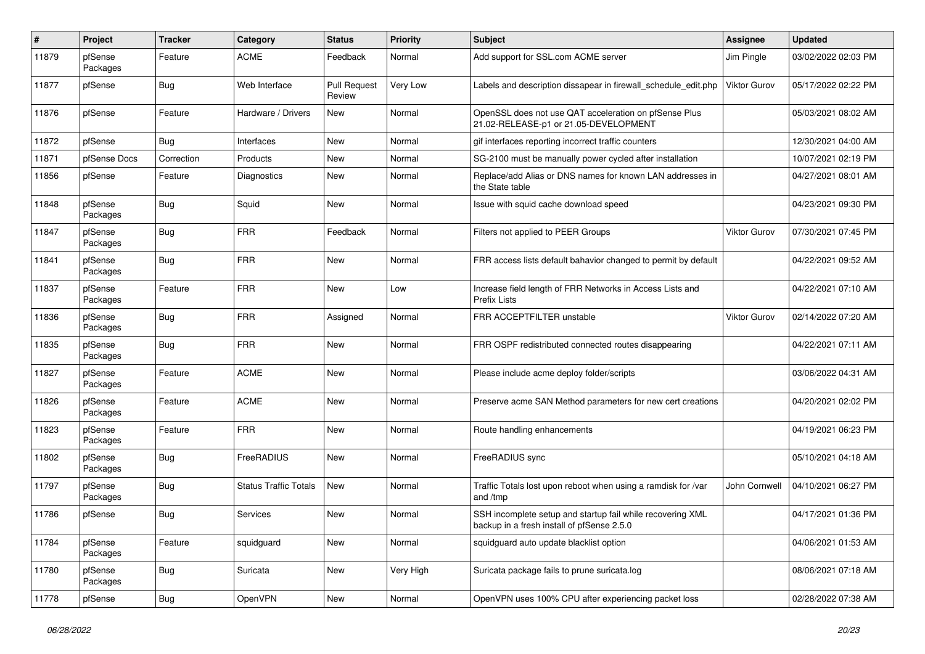| #     | Project             | <b>Tracker</b> | Category                     | <b>Status</b>                 | <b>Priority</b> | Subject                                                                                                  | <b>Assignee</b>     | <b>Updated</b>      |
|-------|---------------------|----------------|------------------------------|-------------------------------|-----------------|----------------------------------------------------------------------------------------------------------|---------------------|---------------------|
| 11879 | pfSense<br>Packages | Feature        | <b>ACME</b>                  | Feedback                      | Normal          | Add support for SSL.com ACME server                                                                      | Jim Pingle          | 03/02/2022 02:03 PM |
| 11877 | pfSense             | Bug            | Web Interface                | <b>Pull Request</b><br>Review | Very Low        | Labels and description dissapear in firewall_schedule_edit.php                                           | <b>Viktor Gurov</b> | 05/17/2022 02:22 PM |
| 11876 | pfSense             | Feature        | Hardware / Drivers           | <b>New</b>                    | Normal          | OpenSSL does not use QAT acceleration on pfSense Plus<br>21.02-RELEASE-p1 or 21.05-DEVELOPMENT           |                     | 05/03/2021 08:02 AM |
| 11872 | pfSense             | Bug            | Interfaces                   | New                           | Normal          | gif interfaces reporting incorrect traffic counters                                                      |                     | 12/30/2021 04:00 AM |
| 11871 | pfSense Docs        | Correction     | Products                     | New                           | Normal          | SG-2100 must be manually power cycled after installation                                                 |                     | 10/07/2021 02:19 PM |
| 11856 | pfSense             | Feature        | Diagnostics                  | New                           | Normal          | Replace/add Alias or DNS names for known LAN addresses in<br>the State table                             |                     | 04/27/2021 08:01 AM |
| 11848 | pfSense<br>Packages | Bug            | Squid                        | New                           | Normal          | Issue with squid cache download speed                                                                    |                     | 04/23/2021 09:30 PM |
| 11847 | pfSense<br>Packages | <b>Bug</b>     | <b>FRR</b>                   | Feedback                      | Normal          | Filters not applied to PEER Groups                                                                       | <b>Viktor Gurov</b> | 07/30/2021 07:45 PM |
| 11841 | pfSense<br>Packages | Bug            | <b>FRR</b>                   | New                           | Normal          | FRR access lists default bahavior changed to permit by default                                           |                     | 04/22/2021 09:52 AM |
| 11837 | pfSense<br>Packages | Feature        | <b>FRR</b>                   | New                           | Low             | Increase field length of FRR Networks in Access Lists and<br>Prefix Lists                                |                     | 04/22/2021 07:10 AM |
| 11836 | pfSense<br>Packages | Bug            | <b>FRR</b>                   | Assigned                      | Normal          | FRR ACCEPTFILTER unstable                                                                                | <b>Viktor Gurov</b> | 02/14/2022 07:20 AM |
| 11835 | pfSense<br>Packages | <b>Bug</b>     | <b>FRR</b>                   | New                           | Normal          | FRR OSPF redistributed connected routes disappearing                                                     |                     | 04/22/2021 07:11 AM |
| 11827 | pfSense<br>Packages | Feature        | <b>ACME</b>                  | New                           | Normal          | Please include acme deploy folder/scripts                                                                |                     | 03/06/2022 04:31 AM |
| 11826 | pfSense<br>Packages | Feature        | <b>ACME</b>                  | New                           | Normal          | Preserve acme SAN Method parameters for new cert creations                                               |                     | 04/20/2021 02:02 PM |
| 11823 | pfSense<br>Packages | Feature        | <b>FRR</b>                   | <b>New</b>                    | Normal          | Route handling enhancements                                                                              |                     | 04/19/2021 06:23 PM |
| 11802 | pfSense<br>Packages | Bug            | FreeRADIUS                   | New                           | Normal          | FreeRADIUS sync                                                                                          |                     | 05/10/2021 04:18 AM |
| 11797 | pfSense<br>Packages | <b>Bug</b>     | <b>Status Traffic Totals</b> | <b>New</b>                    | Normal          | Traffic Totals lost upon reboot when using a ramdisk for /var<br>and /tmp                                | John Cornwell       | 04/10/2021 06:27 PM |
| 11786 | pfSense             | <b>Bug</b>     | <b>Services</b>              | New                           | Normal          | SSH incomplete setup and startup fail while recovering XML<br>backup in a fresh install of pfSense 2.5.0 |                     | 04/17/2021 01:36 PM |
| 11784 | pfSense<br>Packages | Feature        | squidguard                   | New                           | Normal          | squidquard auto update blacklist option                                                                  |                     | 04/06/2021 01:53 AM |
| 11780 | pfSense<br>Packages | Bug            | Suricata                     | New                           | Very High       | Suricata package fails to prune suricata.log                                                             |                     | 08/06/2021 07:18 AM |
| 11778 | pfSense             | Bug            | OpenVPN                      | New                           | Normal          | OpenVPN uses 100% CPU after experiencing packet loss                                                     |                     | 02/28/2022 07:38 AM |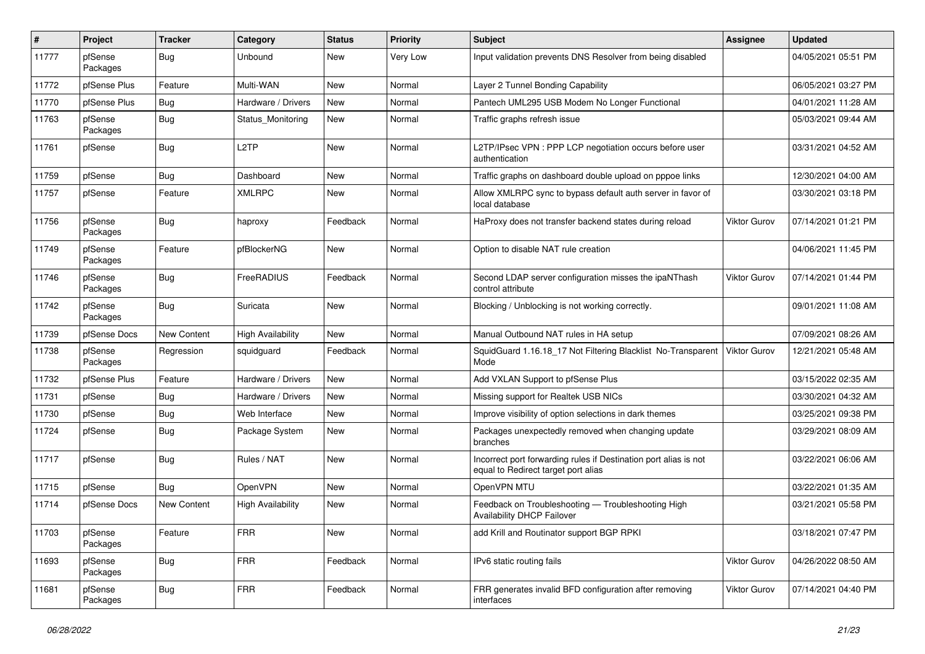| $\sharp$ | Project             | <b>Tracker</b> | Category                 | <b>Status</b> | <b>Priority</b> | <b>Subject</b>                                                                                          | <b>Assignee</b>     | <b>Updated</b>      |
|----------|---------------------|----------------|--------------------------|---------------|-----------------|---------------------------------------------------------------------------------------------------------|---------------------|---------------------|
| 11777    | pfSense<br>Packages | Bug            | Unbound                  | New           | Very Low        | Input validation prevents DNS Resolver from being disabled                                              |                     | 04/05/2021 05:51 PM |
| 11772    | pfSense Plus        | Feature        | Multi-WAN                | New           | Normal          | Layer 2 Tunnel Bonding Capability                                                                       |                     | 06/05/2021 03:27 PM |
| 11770    | pfSense Plus        | Bug            | Hardware / Drivers       | New           | Normal          | Pantech UML295 USB Modem No Longer Functional                                                           |                     | 04/01/2021 11:28 AM |
| 11763    | pfSense<br>Packages | <b>Bug</b>     | Status_Monitoring        | New           | Normal          | Traffic graphs refresh issue                                                                            |                     | 05/03/2021 09:44 AM |
| 11761    | pfSense             | Bug            | L <sub>2</sub> TP        | New           | Normal          | L2TP/IPsec VPN : PPP LCP negotiation occurs before user<br>authentication                               |                     | 03/31/2021 04:52 AM |
| 11759    | pfSense             | Bug            | Dashboard                | New           | Normal          | Traffic graphs on dashboard double upload on pppoe links                                                |                     | 12/30/2021 04:00 AM |
| 11757    | pfSense             | Feature        | <b>XMLRPC</b>            | New           | Normal          | Allow XMLRPC sync to bypass default auth server in favor of<br>local database                           |                     | 03/30/2021 03:18 PM |
| 11756    | pfSense<br>Packages | Bug            | haproxy                  | Feedback      | Normal          | HaProxy does not transfer backend states during reload                                                  | <b>Viktor Gurov</b> | 07/14/2021 01:21 PM |
| 11749    | pfSense<br>Packages | Feature        | pfBlockerNG              | New           | Normal          | Option to disable NAT rule creation                                                                     |                     | 04/06/2021 11:45 PM |
| 11746    | pfSense<br>Packages | <b>Bug</b>     | FreeRADIUS               | Feedback      | Normal          | Second LDAP server configuration misses the ipaNThash<br>control attribute                              | <b>Viktor Gurov</b> | 07/14/2021 01:44 PM |
| 11742    | pfSense<br>Packages | Bug            | Suricata                 | New           | Normal          | Blocking / Unblocking is not working correctly.                                                         |                     | 09/01/2021 11:08 AM |
| 11739    | pfSense Docs        | New Content    | <b>High Availability</b> | New           | Normal          | Manual Outbound NAT rules in HA setup                                                                   |                     | 07/09/2021 08:26 AM |
| 11738    | pfSense<br>Packages | Regression     | squidguard               | Feedback      | Normal          | SquidGuard 1.16.18_17 Not Filtering Blacklist No-Transparent<br>Mode                                    | Viktor Gurov        | 12/21/2021 05:48 AM |
| 11732    | pfSense Plus        | Feature        | Hardware / Drivers       | <b>New</b>    | Normal          | Add VXLAN Support to pfSense Plus                                                                       |                     | 03/15/2022 02:35 AM |
| 11731    | pfSense             | <b>Bug</b>     | Hardware / Drivers       | New           | Normal          | Missing support for Realtek USB NICs                                                                    |                     | 03/30/2021 04:32 AM |
| 11730    | pfSense             | Bug            | Web Interface            | New           | Normal          | Improve visibility of option selections in dark themes                                                  |                     | 03/25/2021 09:38 PM |
| 11724    | pfSense             | Bug            | Package System           | New           | Normal          | Packages unexpectedly removed when changing update<br>branches                                          |                     | 03/29/2021 08:09 AM |
| 11717    | pfSense             | Bug            | Rules / NAT              | New           | Normal          | Incorrect port forwarding rules if Destination port alias is not<br>equal to Redirect target port alias |                     | 03/22/2021 06:06 AM |
| 11715    | pfSense             | Bug            | OpenVPN                  | New           | Normal          | OpenVPN MTU                                                                                             |                     | 03/22/2021 01:35 AM |
| 11714    | pfSense Docs        | New Content    | <b>High Availability</b> | New           | Normal          | Feedback on Troubleshooting - Troubleshooting High<br><b>Availability DHCP Failover</b>                 |                     | 03/21/2021 05:58 PM |
| 11703    | pfSense<br>Packages | Feature        | <b>FRR</b>               | New           | Normal          | add Krill and Routinator support BGP RPKI                                                               |                     | 03/18/2021 07:47 PM |
| 11693    | pfSense<br>Packages | Bug            | <b>FRR</b>               | Feedback      | Normal          | IPv6 static routing fails                                                                               | Viktor Gurov        | 04/26/2022 08:50 AM |
| 11681    | pfSense<br>Packages | Bug            | <b>FRR</b>               | Feedback      | Normal          | FRR generates invalid BFD configuration after removing<br>interfaces                                    | Viktor Gurov        | 07/14/2021 04:40 PM |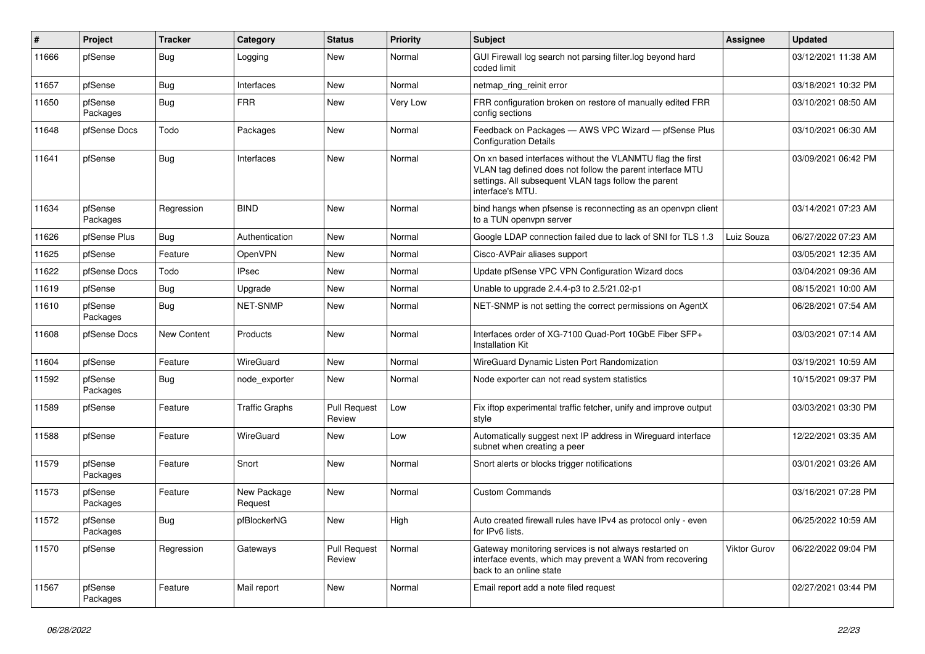| $\vert$ # | Project             | <b>Tracker</b> | Category               | <b>Status</b>                 | <b>Priority</b> | <b>Subject</b>                                                                                                                                                                                     | <b>Assignee</b> | <b>Updated</b>      |
|-----------|---------------------|----------------|------------------------|-------------------------------|-----------------|----------------------------------------------------------------------------------------------------------------------------------------------------------------------------------------------------|-----------------|---------------------|
| 11666     | pfSense             | Bug            | Logging                | <b>New</b>                    | Normal          | GUI Firewall log search not parsing filter.log beyond hard<br>coded limit                                                                                                                          |                 | 03/12/2021 11:38 AM |
| 11657     | pfSense             | Bug            | Interfaces             | <b>New</b>                    | Normal          | netmap ring reinit error                                                                                                                                                                           |                 | 03/18/2021 10:32 PM |
| 11650     | pfSense<br>Packages | Bug            | <b>FRR</b>             | <b>New</b>                    | Very Low        | FRR configuration broken on restore of manually edited FRR<br>config sections                                                                                                                      |                 | 03/10/2021 08:50 AM |
| 11648     | pfSense Docs        | Todo           | Packages               | <b>New</b>                    | Normal          | Feedback on Packages - AWS VPC Wizard - pfSense Plus<br><b>Configuration Details</b>                                                                                                               |                 | 03/10/2021 06:30 AM |
| 11641     | pfSense             | <b>Bug</b>     | Interfaces             | <b>New</b>                    | Normal          | On xn based interfaces without the VLANMTU flag the first<br>VLAN tag defined does not follow the parent interface MTU<br>settings. All subsequent VLAN tags follow the parent<br>interface's MTU. |                 | 03/09/2021 06:42 PM |
| 11634     | pfSense<br>Packages | Regression     | <b>BIND</b>            | <b>New</b>                    | Normal          | bind hangs when pfsense is reconnecting as an openypn client<br>to a TUN openypn server                                                                                                            |                 | 03/14/2021 07:23 AM |
| 11626     | pfSense Plus        | Bug            | Authentication         | <b>New</b>                    | Normal          | Google LDAP connection failed due to lack of SNI for TLS 1.3                                                                                                                                       | Luiz Souza      | 06/27/2022 07:23 AM |
| 11625     | pfSense             | Feature        | OpenVPN                | <b>New</b>                    | Normal          | Cisco-AVPair aliases support                                                                                                                                                                       |                 | 03/05/2021 12:35 AM |
| 11622     | pfSense Docs        | Todo           | <b>IPsec</b>           | <b>New</b>                    | Normal          | Update pfSense VPC VPN Configuration Wizard docs                                                                                                                                                   |                 | 03/04/2021 09:36 AM |
| 11619     | pfSense             | Bug            | Upgrade                | <b>New</b>                    | Normal          | Unable to upgrade 2.4.4-p3 to 2.5/21.02-p1                                                                                                                                                         |                 | 08/15/2021 10:00 AM |
| 11610     | pfSense<br>Packages | Bug            | <b>NET-SNMP</b>        | <b>New</b>                    | Normal          | NET-SNMP is not setting the correct permissions on AgentX                                                                                                                                          |                 | 06/28/2021 07:54 AM |
| 11608     | pfSense Docs        | New Content    | Products               | <b>New</b>                    | Normal          | Interfaces order of XG-7100 Quad-Port 10GbE Fiber SFP+<br><b>Installation Kit</b>                                                                                                                  |                 | 03/03/2021 07:14 AM |
| 11604     | pfSense             | Feature        | WireGuard              | <b>New</b>                    | Normal          | WireGuard Dynamic Listen Port Randomization                                                                                                                                                        |                 | 03/19/2021 10:59 AM |
| 11592     | pfSense<br>Packages | <b>Bug</b>     | node exporter          | <b>New</b>                    | Normal          | Node exporter can not read system statistics                                                                                                                                                       |                 | 10/15/2021 09:37 PM |
| 11589     | pfSense             | Feature        | <b>Traffic Graphs</b>  | <b>Pull Request</b><br>Review | Low             | Fix iftop experimental traffic fetcher, unify and improve output<br>style                                                                                                                          |                 | 03/03/2021 03:30 PM |
| 11588     | pfSense             | Feature        | WireGuard              | <b>New</b>                    | Low             | Automatically suggest next IP address in Wireguard interface<br>subnet when creating a peer                                                                                                        |                 | 12/22/2021 03:35 AM |
| 11579     | pfSense<br>Packages | Feature        | Snort                  | <b>New</b>                    | Normal          | Snort alerts or blocks trigger notifications                                                                                                                                                       |                 | 03/01/2021 03:26 AM |
| 11573     | pfSense<br>Packages | Feature        | New Package<br>Request | <b>New</b>                    | Normal          | <b>Custom Commands</b>                                                                                                                                                                             |                 | 03/16/2021 07:28 PM |
| 11572     | pfSense<br>Packages | <b>Bug</b>     | pfBlockerNG            | <b>New</b>                    | High            | Auto created firewall rules have IPv4 as protocol only - even<br>for IPv6 lists.                                                                                                                   |                 | 06/25/2022 10:59 AM |
| 11570     | pfSense             | Regression     | Gateways               | <b>Pull Request</b><br>Review | Normal          | Gateway monitoring services is not always restarted on<br>interface events, which may prevent a WAN from recovering<br>back to an online state                                                     | Viktor Gurov    | 06/22/2022 09:04 PM |
| 11567     | pfSense<br>Packages | Feature        | Mail report            | <b>New</b>                    | Normal          | Email report add a note filed request                                                                                                                                                              |                 | 02/27/2021 03:44 PM |